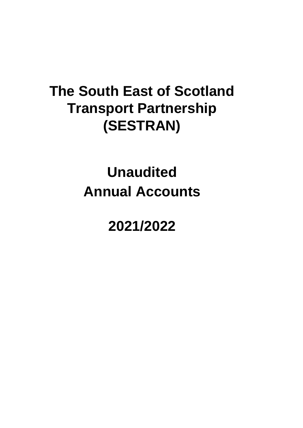# **Annual Accounts Unaudited**

**2021/2022**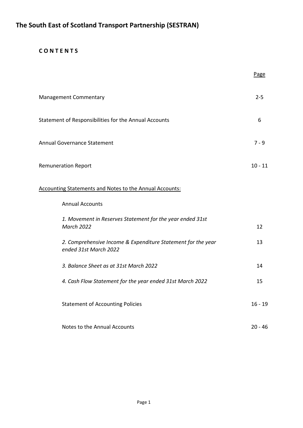# **C O N T E N T S**

|                                                                                       | Page      |
|---------------------------------------------------------------------------------------|-----------|
| Management Commentary                                                                 | $2 - 5$   |
| Statement of Responsibilities for the Annual Accounts                                 | 6         |
| <b>Annual Governance Statement</b>                                                    | $7 - 9$   |
| <b>Remuneration Report</b>                                                            | $10 - 11$ |
| <b>Accounting Statements and Notes to the Annual Accounts:</b>                        |           |
| <b>Annual Accounts</b>                                                                |           |
| 1. Movement in Reserves Statement for the year ended 31st<br><b>March 2022</b>        | 12        |
| 2. Comprehensive Income & Expenditure Statement for the year<br>ended 31st March 2022 | 13        |
| 3. Balance Sheet as at 31st March 2022                                                | 14        |
| 4. Cash Flow Statement for the year ended 31st March 2022                             | 15        |
| <b>Statement of Accounting Policies</b>                                               | $16 - 19$ |
| Notes to the Annual Accounts                                                          | $20 - 46$ |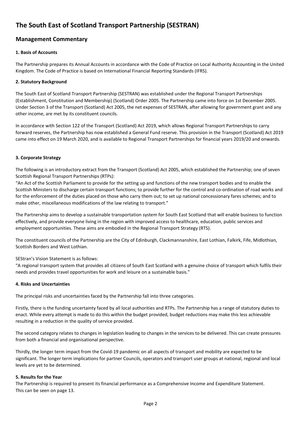# **Management Commentary**

#### **1. Basis of Accounts**

The Partnership prepares its Annual Accounts in accordance with the Code of Practice on Local Authority Accounting in the United Kingdom. The Code of Practice is based on International Financial Reporting Standards (IFRS).

#### **2. Statutory Background**

The South East of Scotland Transport Partnership (SESTRAN) was established under the Regional Transport Partnerships (Establishment, Constitution and Membership) (Scotland) Order 2005. The Partnership came into force on 1st December 2005. Under Section 3 of the Transport (Scotland) Act 2005, the net expenses of SESTRAN, after allowing for government grant and any other income, are met by its constituent councils.

In accordance with Section 122 of the Transport (Scotland) Act 2019, which allows Regional Transport Partnerships to carry forward reserves, the Partnership has now established a General Fund reserve. This provision in the Transport (Scotland) Act 2019 came into effect on 19 March 2020, and is available to Regional Transport Partnerships for financial years 2019/20 and onwards.

#### **3. Corporate Strategy**

The following is an introductory extract from the Transport (Scotland) Act 2005, which established the Partnership; one of seven Scottish Regional Transport Partnerships (RTPs):

"An Act of the Scottish Parliament to provide for the setting up and functions of the new transport bodies and to enable the Scottish Ministers to discharge certain transport functions; to provide further for the control and co-ordination of road works and for the enforcement of the duties placed on those who carry them out; to set up national concessionary fares schemes; and to make other, miscellaneous modifications of the law relating to transport."

The Partnership aims to develop a sustainable transportation system for South East Scotland that will enable business to function effectively, and provide everyone living in the region with improved access to healthcare, education, public services and employment opportunities. These aims are embodied in the Regional Transport Strategy (RTS).

The constituent councils of the Partnership are the City of Edinburgh, Clackmannanshire, East Lothian, Falkirk, Fife, Midlothian, Scottish Borders and West Lothian.

### SEStran's Vision Statement is as follows:

"A regional transport system that provides all citizens of South East Scotland with a genuine choice of transport which fulfils their needs and provides travel opportunities for work and leisure on a sustainable basis."

#### **4. Risks and Uncertainties**

The principal risks and uncertainties faced by the Partnership fall into three categories.

Firstly, there is the funding uncertainty faced by all local authorities and RTPs. The Partnership has a range of statutory duties to enact. While every attempt is made to do this within the budget provided, budget reductions may make this less achievable resulting in a reduction in the quality of service provided.

The second category relates to changes in legislation leading to changes in the services to be delivered. This can create pressures from both a financial and organisational perspective.

Thirdly, the longer term impact from the Covid-19 pandemic on all aspects of transport and mobility are expected to be significant. The longer term implications for partner Councils, operators and transport user groups at national, regional and local levels are yet to be determined.

#### **5. Results for the Year**

The Partnership is required to present its financial performance as a Comprehensive Income and Expenditure Statement. This can be seen on page 13.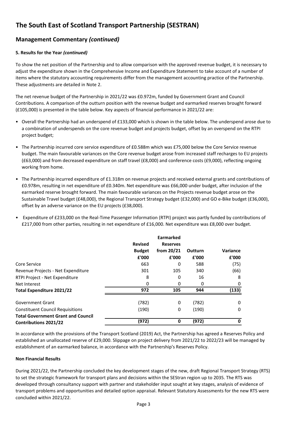# **Management Commentary** *(continued)*

#### **5. Results for the Year** *(continued)*

To show the net position of the Partnership and to allow comparison with the approved revenue budget, it is necessary to adjust the expenditure shown in the Comprehensive Income and Expenditure Statement to take account of a number of items where the statutory accounting requirements differ from the management accounting practice of the Partnership. These adjustments are detailed in Note 2.

The net revenue budget of the Partnership in 2021/22 was £0.972m, funded by Government Grant and Council Contributions. A comparison of the outturn position with the revenue budget and earmarked reserves brought forward (£105,000) is presented in the table below. Key aspects of financial performance in 2021/22 are:

- Overall the Partnership had an underspend of £133,000 which is shown in the table below. The underspend arose due to a combination of underspends on the core revenue budget and projects budget, offset by an overspend on the RTPI project budget;
- The Partnership incurred core service expenditure of £0.588m which was £75,000 below the Core Service revenue budget. The main favourable variances on the Core revenue budget arose from increased staff recharges to EU projects (£63,000) and from decreased expenditure on staff travel (£8,000) and conference costs (£9,000), reflecting ongoing working from home.
- The Partnership incurred expenditure of £1.318m on revenue projects and received external grants and contributions of £0.978m, resulting in net expenditure of £0.340m. Net expenditure was £66,000 under budget, after inclusion of the earmarked reserve brought forward. The main favourable variances on the Projects revenue budget arose on the Sustainable Travel budget (£48,000), the Regional Transport Strategy budget (£32,000) and GO e-Bike budget (£36,000), offset by an adverse variance on the EU projects (£38,000).
- Expenditure of £233,000 on the Real-Time Passenger Information (RTPI) project was partly funded by contributions of £217,000 from other parties, resulting in net expenditure of £16,000. Net expenditure was £8,000 over budget.

|                                           | <b>Revised</b><br><b>Budget</b><br>£'000 | <b>Earmarked</b><br><b>Reserves</b><br>from $20/21$<br>£'000 | Outturn<br>£'000 | Variance<br>£'000 |
|-------------------------------------------|------------------------------------------|--------------------------------------------------------------|------------------|-------------------|
| Core Service                              | 663                                      | 0                                                            | 588              | (75)              |
| Revenue Projects - Net Expenditure        | 301                                      | 105                                                          | 340              | (66)              |
| RTPI Project - Net Expenditure            | 8                                        | 0                                                            | 16               | 8                 |
| Net Interest                              | 0                                        | 0                                                            | 0                | 0                 |
| Total Expenditure 2021/22                 | 972                                      | 105                                                          | 944              | (133)             |
| Government Grant                          | (782)                                    | 0                                                            | (782)            | 0                 |
| <b>Constituent Council Requisitions</b>   | (190)                                    | 0                                                            | (190)            | 0                 |
| <b>Total Government Grant and Council</b> |                                          |                                                              |                  |                   |
| <b>Contributions 2021/22</b>              | (972)                                    | 0                                                            | (972)            | 0                 |

In accordance with the provisions of the Transport Scotland (2019) Act, the Partnership has agreed a Reserves Policy and established an unallocated reserve of £29,000. Slippage on project delivery from 2021/22 to 2022/23 will be managed by establishment of an earmarked balance, in accordance with the Partnership's Reserves Policy.

#### **Non Financial Results**

During 2021/22, the Partnership concluded the key development stages of the new, draft Regional Transport Strategy (RTS) to set the strategic framework for transport plans and decisions within the SEStran region up to 2035. The RTS was developed through consultancy support with partner and stakeholder input sought at key stages, analysis of evidence of transport problems and opportunities and detailed option appraisal. Relevant Statutory Assessments for the new RTS were concluded within 2021/22.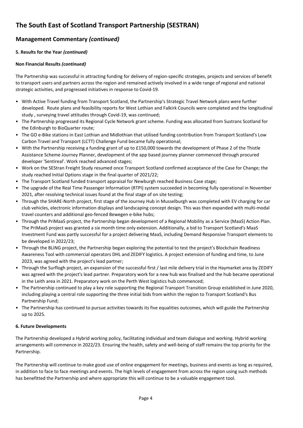# **Management Commentary** *(continued)*

### **5. Results for the Year** *(continued)*

### **Non Financial Results** *(continued)*

The Partnership was successful in attracting funding for delivery of region-specific strategies, projects and services of benefit to transport users and partners across the region and remained actively involved in a wide range of regional and national strategic activities, and progressed initiatives in response to Covid-19.

- With Active Travel funding from Transport Scotland, the Partnership's Strategic Travel Network plans were further developed. Route plans and feasibility reports for West Lothian and Falkirk Councils were completed and the longitudinal study , surveying travel attitudes through Covid-19, was continued;
- The Partnership progressed its Regional Cycle Network grant scheme. Funding was allocated from Sustrans Scotland for the Edinburgh to BioQuarter route;
- The GO e-Bike stations in East Lothian and Midlothian that utilised funding contribution from Transport Scotland's Low Carbon Travel and Transport (LCTT) Challenge Fund became fully operational;
- With the Partnership receiving a funding grant of up to £150,000 towards the development of Phase 2 of the Thistle Assistance Scheme Journey Planner, development of the app based journey planner commenced through procured developer 'Sentireal'. Work reached advanced stages;
- Work on the SEStran Freight Study resumed once Transport Scotland confirmed acceptance of the Case for Change; the study reached Initial Options stage in the final quarter of 2021/22;
- The Transport Scotland funded transport appraisal for Newburgh reached Business Case stage;
- The upgrade of the Real Time Passenger Information (RTPI) system succeeded in becoming fully operational in November 2021, after resolving technical issues found at the final stage of on site testing;
- Through the SHARE-North project, first stage of the Journey Hub in Musselburgh was completed with EV charging for car club vehicles, electronic information displays and landscaping concept design. This was then expanded with multi-modal travel counters and additional geo-fenced Bewegen e-bike hubs;
- Through the PriMaaS project, the Partnership began development of a Regional Mobility as a Service (MaaS) Action Plan. The PriMaaS project was granted a six month time only extension. Additionally, a bid to Transport Scotland's MaaS Investment Fund was partly successful for a project delivering MaaS, including Demand Responsive Transport elements to be developed in 2022/23;
- Through the BLING project, the Partnership began exploring the potential to test the project's Blockchain Readiness Awareness Tool with commercial operators DHL and ZEDIFY logistics. A project extension of funding and time, to June 2023, was agreed with the project's lead partner;
- Through the Surflogh project, an expansion of the successful first / last mile delivery trial in the Haymarket area by ZEDIFY was agreed with the project's lead partner. Preparatory work for a new hub was finalised and the hub became operational in the Leith area in 2021. Preparatory work on the Perth West logistics hub commenced;
- The Partnership continued to play a key role supporting the Regional Transport Transition Group established in June 2020, including playing a central role supporting the three initial bids from within the region to Transport Scotland's Bus Partnership Fund;
- The Partnership has continued to pursue activities towards its five equalities outcomes, which will guide the Partnership up to 2025.

### **6. Future Developments**

The Partnership developed a Hybrid working policy, facilitating individual and team dialogue and working. Hybrid working arrangements will commence in 2022/23. Ensuring the health, safety and well-being of staff remains the top priority for the Partnership.

The Partnership will continue to make good use of online engagement for meetings, business and events as long as required, in addition to face to face meetings and events. The high levels of engagement from across the region using such methods has benefitted the Partnership and where appropriate this will continue to be a valuable engagement tool.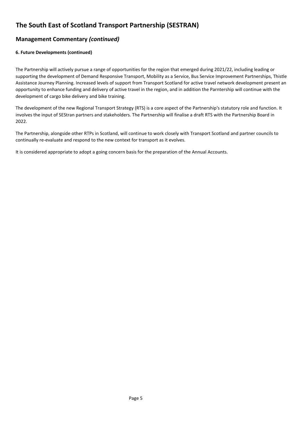# **Management Commentary** *(continued)*

#### **6. Future Developments (continued)**

The Partnership will actively pursue a range of opportunities for the region that emerged during 2021/22, including leading or supporting the development of Demand Responsive Transport, Mobility as a Service, Bus Service Improvement Partnerships, Thistle Assistance Journey Planning. Increased levels of support from Transport Scotland for active travel network development present an opportunity to enhance funding and delivery of active travel in the region, and in addition the Parntership will continue with the development of cargo bike delivery and bike training.

The development of the new Regional Transport Strategy (RTS) is a core aspect of the Partnership's statutory role and function. It involves the input of SEStran partners and stakeholders. The Partnership will finalise a draft RTS with the Partnership Board in 2022.

The Partnership, alongside other RTPs in Scotland, will continue to work closely with Transport Scotland and partner councils to continually re-evaluate and respond to the new context for transport as it evolves.

It is considered appropriate to adopt a going concern basis for the preparation of the Annual Accounts.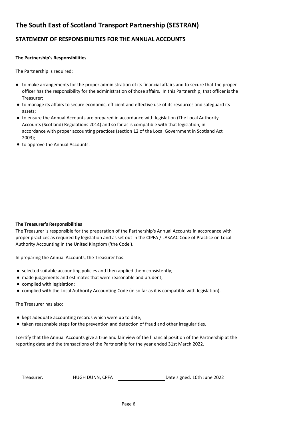# **STATEMENT OF RESPONSIBILITIES FOR THE ANNUAL ACCOUNTS**

#### **The Partnership's Responsibilities**

The Partnership is required:

- to make arrangements for the proper administration of its financial affairs and to secure that the proper officer has the responsibility for the administration of those affairs. In this Partnership, that officer is the Treasurer;
- to manage its affairs to secure economic, efficient and effective use of its resources and safeguard its assets;
- to ensure the Annual Accounts are prepared in accordance with legislation (The Local Authority Accounts (Scotland) Regulations 2014) and so far as is compatible with that legislation, in accordance with proper accounting practices (section 12 of the Local Government in Scotland Act 2003);
- to approve the Annual Accounts.

#### **The Treasurer's Responsibilities**

The Treasurer is responsible for the preparation of the Partnership's Annual Accounts in accordance with proper practices as required by legislation and as set out in the CIPFA / LASAAC Code of Practice on Local Authority Accounting in the United Kingdom ('the Code').

In preparing the Annual Accounts, the Treasurer has:

- selected suitable accounting policies and then applied them consistently;
- made judgements and estimates that were reasonable and prudent;
- complied with legislation;
- complied with the Local Authority Accounting Code (in so far as it is compatible with legislation).

The Treasurer has also:

- kept adequate accounting records which were up to date;
- taken reasonable steps for the prevention and detection of fraud and other irregularities.

I certify that the Annual Accounts give a true and fair view of the financial position of the Partnership at the reporting date and the transactions of the Partnership for the year ended 31st March 2022.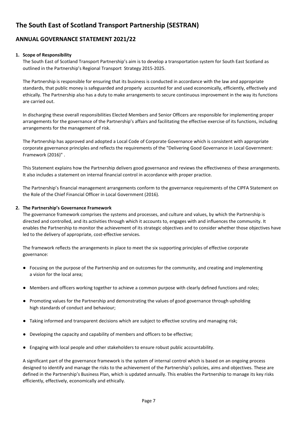# **ANNUAL GOVERNANCE STATEMENT 2021/22**

#### **1. Scope of Responsibility**

The South East of Scotland Transport Partnership's aim is to develop a transportation system for South East Scotland as outlined in the Partnership's Regional Transport Strategy 2015-2025.

The Partnership is responsible for ensuring that its business is conducted in accordance with the law and appropriate standards, that public money is safeguarded and properly accounted for and used economically, efficiently, effectively and ethically. The Partnership also has a duty to make arrangements to secure continuous improvement in the way its functions are carried out.

In discharging these overall responsibilities Elected Members and Senior Officers are responsible for implementing proper arrangements for the governance of the Partnership's affairs and facilitating the effective exercise of its functions, including arrangements for the management of risk.

The Partnership has approved and adopted a Local Code of Corporate Governance which is consistent with appropriate corporate governance principles and reflects the requirements of the "Delivering Good Governance in Local Government: Framework (2016)" .

This Statement explains how the Partnership delivers good governance and reviews the effectiveness of these arrangements. It also includes a statement on internal financial control in accordance with proper practice.

The Partnership's financial management arrangements conform to the governance requirements of the CIPFA Statement on the Role of the Chief Financial Officer in Local Government (2016).

#### **2. The Partnership's Governance Framework**

The governance framework comprises the systems and processes, and culture and values, by which the Partnership is directed and controlled, and its activities through which it accounts to, engages with and influences the community. It enables the Partnership to monitor the achievement of its strategic objectives and to consider whether those objectives have led to the delivery of appropriate, cost-effective services.

The framework reflects the arrangements in place to meet the six supporting principles of effective corporate governance:

- Focusing on the purpose of the Partnership and on outcomes for the community, and creating and implementing a vision for the local area;
- Members and officers working together to achieve a common purpose with clearly defined functions and roles;
- Promoting values for the Partnership and demonstrating the values of good governance through upholding high standards of conduct and behaviour;
- Taking informed and transparent decisions which are subject to effective scrutiny and managing risk;
- Developing the capacity and capability of members and officers to be effective;
- Engaging with local people and other stakeholders to ensure robust public accountability.

A significant part of the governance framework is the system of internal control which is based on an ongoing process designed to identify and manage the risks to the achievement of the Partnership's policies, aims and objectives. These are defined in the Partnership's Business Plan, which is updated annually. This enables the Partnership to manage its key risks efficiently, effectively, economically and ethically.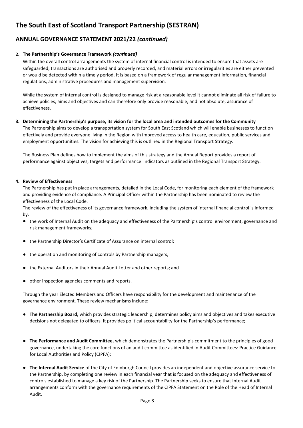# **ANNUAL GOVERNANCE STATEMENT 2021/22** *(continued)*

#### **2. The Partnership's Governance Framework** *(continued)*

Within the overall control arrangements the system of internal financial control is intended to ensure that assets are safeguarded, transactions are authorised and properly recorded, and material errors or irregularities are either prevented or would be detected within a timely period. It is based on a framework of regular management information, financial regulations, administrative procedures and management supervision.

While the system of internal control is designed to manage risk at a reasonable level it cannot eliminate all risk of failure to achieve policies, aims and objectives and can therefore only provide reasonable, and not absolute, assurance of effectiveness.

#### **3. Determining the Partnership's purpose, its vision for the local area and intended outcomes for the Community**

The Partnership aims to develop a transportation system for South East Scotland which will enable businesses to function effectively and provide everyone living in the Region with improved access to health care, education, public services and employment opportunities. The vision for achieving this is outlined in the Regional Transport Strategy.

The Business Plan defines how to implement the aims of this strategy and the Annual Report provides a report of performance against objectives, targets and performance indicators as outlined in the Regional Transport Strategy.

#### **4. Review of Effectiveness**

The Partnership has put in place arrangements, detailed in the Local Code, for monitoring each element of the framework and providing evidence of compliance. A Principal Officer within the Partnership has been nominated to review the effectiveness of the Local Code.

The review of the effectiveness of its governance framework, including the system of internal financial control is informed by:

- the work of Internal Audit on the adequacy and effectiveness of the Partnership's control environment, governance and risk management frameworks;
- the Partnership Director's Certificate of Assurance on internal control;
- the operation and monitoring of controls by Partnership managers;
- the External Auditors in their Annual Audit Letter and other reports; and
- other inspection agencies comments and reports.

Through the year Elected Members and Officers have responsibility for the development and maintenance of the governance environment. These review mechanisms include:

- **The Partnership Board,** which provides strategic leadership, determines policy aims and objectives and takes executive decisions not delegated to officers. It provides political accountability for the Partnership's performance;
- **The Performance and Audit Committee,** which demonstrates the Partnership's commitment to the principles of good governance, undertaking the core functions of an audit committee as identified in Audit Committees: Practice Guidance for Local Authorities and Policy (CIPFA);
- **The Internal Audit Service** of the City of Edinburgh Council provides an independent and objective assurance service to the Partnership, by completing one review in each financial year that is focused on the adequacy and effectiveness of controls established to manage a key risk of the Partnership. The Partnership seeks to ensure that Internal Audit arrangements conform with the governance requirements of the CIPFA Statement on the Role of the Head of Internal Audit.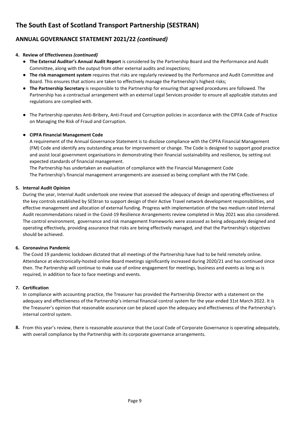# **ANNUAL GOVERNANCE STATEMENT 2021/22** *(continued)*

#### **4. Review of Effectiveness** *(continued)*

- **The External Auditor's Annual Audit Report** is considered by the Partnership Board and the Performance and Audit Committee, along with the output from other external audits and inspections;
- **The risk management system** requires that risks are regularly reviewed by the Performance and Audit Committee and Board. This ensures that actions are taken to effectively manage the Partnership's highest risks;
- **The Partnership Secretary** is responsible to the Partnership for ensuring that agreed procedures are followed. The Partnership has a contractual arrangement with an external Legal Services provider to ensure all applicable statutes and regulations are complied with.
- The Partnership operates Anti-Bribery, Anti-Fraud and Corruption policies in accordance with the CIPFA Code of Practice on Managing the Risk of Fraud and Corruption.

#### ● **CIPFA Financial Management Code**

A requirement of the Annual Governance Statement is to disclose compliance with the CIPFA Financial Management (FM) Code and identify any outstanding areas for improvement or change. The Code is designed to support good practice and assist local government organisations in demonstrating their financial sustainability and resilience, by setting out expected standards of financial management.

The Partnership has undertaken an evaluation of compliance with the Financial Management Code The Partnership's financial management arrangements are assessed as being compliant with the FM Code.

#### **5. Internal Audit Opinion**

During the year, Internal Audit undertook one review that assessed the adequacy of design and operating effectiveness of the key controls established by SEStran to support design of their Active Travel network development responsibilities, and effective management and allocation of external funding. Progress with implementation of the two medium rated Internal Audit recommendations raised in the Covid-19 Resilience Arrangements review completed in May 2021 was also considered. The control environment, governance and risk management frameworks were assessed as being adequately designed and operating effectively, providing assurance that risks are being effectively managed, and that the Partnership's objectives should be achieved.

#### **6. Coronavirus Pandemic**

The Covid 19 pandemic lockdown dictated that all meetings of the Partnership have had to be held remotely online. Attendance at electronically-hosted online Board meetings significantly increased during 2020/21 and has continued since then. The Partnership will continue to make use of online engagement for meetings, business and events as long as is required, in addition to face to face meetings and events.

#### **7. Certification**

In compliance with accounting practice, the Treasurer has provided the Partnership Director with a statement on the adequacy and effectiveness of the Partnership's internal financial control system for the year ended 31st March 2022. It is the Treasurer's opinion that reasonable assurance can be placed upon the adequacy and effectiveness of the Partnership's internal control system.

**8.** From this year's review, there is reasonable assurance that the Local Code of Corporate Governance is operating adequately, with overall compliance by the Partnership with its corporate governance arrangements.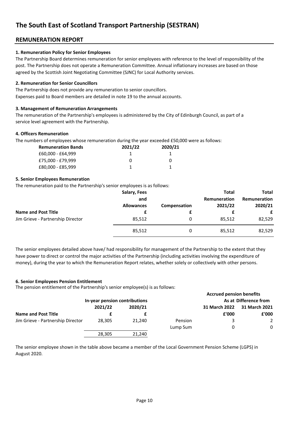# **REMUNERATION REPORT**

#### **1. Remuneration Policy for Senior Employees**

The Partnership Board determines remuneration for senior employees with reference to the level of responsibility of the post. The Partnership does not operate a Remuneration Committee. Annual inflationary increases are based on those agreed by the Scottish Joint Negotiating Committee (SJNC) for Local Authority services.

#### **2. Remuneration for Senior Councillors**

The Partnership does not provide any remuneration to senior councillors. Expenses paid to Board members are detailed in note 19 to the annual accounts.

#### **3. Management of Remuneration Arrangements**

The remuneration of the Partnership's employees is administered by the City of Edinburgh Council, as part of a service level agreement with the Partnership.

#### **4. Officers Remuneration**

The numbers of employees whose remuneration during the year exceeded £50,000 were as follows:

| <b>Remuneration Bands</b> | 2021/22 | 2020/21 |
|---------------------------|---------|---------|
| £60,000 - £64,999         |         |         |
| £75,000 - £79,999         |         | 0       |
| £80,000 - £85,999         |         |         |

#### **5. Senior Employees Remuneration**

The remuneration paid to the Partnership's senior employees is as follows:

|                                                                 | Salary, Fees<br>and<br><b>Allowances</b> | Compensation | <b>Total</b><br>Remuneration<br>2021/22 | <b>Total</b><br>Remuneration<br>2020/21 |
|-----------------------------------------------------------------|------------------------------------------|--------------|-----------------------------------------|-----------------------------------------|
| <b>Name and Post Title</b><br>Jim Grieve - Partnership Director | 85,512                                   | 0            | 85,512                                  | £<br>82,529                             |
|                                                                 | 85,512                                   | 0            | 85,512                                  | 82,529                                  |

The senior employees detailed above have/ had responsibility for management of the Partnership to the extent that they have power to direct or control the major activities of the Partnership (including activities involving the expenditure of money), during the year to which the Remuneration Report relates, whether solely or collectively with other persons.

#### **6. Senior Employees Pension Entitlement**

The pension entitlement of the Partnership's senior employee(s) is as follows:

|                                   |                               |         |          | <b>Accrued pension benefits</b> |                       |
|-----------------------------------|-------------------------------|---------|----------|---------------------------------|-----------------------|
|                                   | In-year pension contributions |         |          |                                 | As at Difference from |
|                                   | 2021/22                       | 2020/21 |          | 31 March 2022                   | 31 March 2021         |
| <b>Name and Post Title</b>        |                               |         |          | £'000                           | £'000                 |
| Jim Grieve - Partnership Director | 28.305                        | 21.240  | Pension  |                                 | 2                     |
|                                   |                               |         | Lump Sum |                                 | 0                     |
|                                   | 28,305                        | 21.240  |          |                                 |                       |

The senior employee shown in the table above became a member of the Local Government Pension Scheme (LGPS) in August 2020.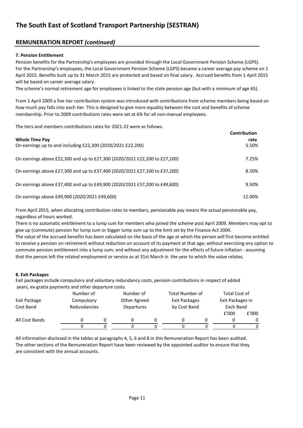# **REMUNERATION REPORT** *(continued)*

#### **7. Pension Entitlement**

Pension benefits for the Partnership's employees are provided through the Local Government Pension Scheme (LGPS). For the Partnership's employees, the Local Government Pension Scheme (LGPS) became a career average pay scheme on 1 April 2015. Benefits built up to 31 March 2015 are protected and based on final salary. Accrued benefits from 1 April 2015 will be based on career average salary.

The scheme's normal retirement age for employees is linked to the state pension age (but with a minimum of age 65).

From 1 April 2009 a five tier contribution system was introduced with contributions from scheme members being based on how much pay falls into each tier. This is designed to give more equality between the cost and benefits of scheme membership. Prior to 2009 contributions rates were set at 6% for all non-manual employees.

The tiers and members contributions rates for 2021-22 were as follows:

|                                                                            | <b>Contribution</b> |
|----------------------------------------------------------------------------|---------------------|
| <b>Whole Time Pay</b>                                                      | rate                |
| On earnings up to and including £22,300 (2020/2021 £22,200)                | 5.50%               |
| On earnings above £22,300 and up to £27,300 (2020/2021 £22,200 to £27,100) | 7.25%               |
| On earnings above £27,300 and up to £37,400 (2020/2021 £27,100 to £37,200) | 8.50%               |
|                                                                            |                     |
| On earnings above £37,400 and up to £49,900 (2020/2021 £37,200 to £49,600) | 9.50%               |
| On earnings above £49,900 (2020/2021 £49,600)                              | 12.00%              |

From April 2015, when allocating contribution rates to members, pensionable pay means the actual pensionable pay, regardless of hours worked.

There is no automatic entitlement to a lump sum for members who joined the scheme post April 2009. Members may opt to give up (commute) pension for lump sum or bigger lump sum up to the limit set by the Finance Act 2004.

The value of the accrued benefits has been calculated on the basis of the age at which the person will first become entitled to receive a pension on retirement without reduction on account of its payment at that age; without exercising any option to commute pension entitlement into a lump sum; and without any adjustment for the effects of future inflation - assuming that the person left the related employment or service as at 31st March in the year to which the value relates.

#### **8. Exit Packages**

Exit packages include compulsory and voluntary redundancy costs, pension contributions in respect of added years, ex-gratia payments and other departure costs.

|                | Number of    |  | Number of                  |  | Total Number of |  | Total Cost of    |       |
|----------------|--------------|--|----------------------------|--|-----------------|--|------------------|-------|
| Exit Package   | Compulsory   |  | Other Agreed               |  | Exit Packages   |  | Exit Packages in |       |
| Cost Band      | Redundancies |  | by Cost Band<br>Departures |  |                 |  | Each Band        |       |
|                |              |  |                            |  |                 |  | £'000            | £'000 |
| All Cost Bands |              |  |                            |  |                 |  |                  |       |
|                |              |  |                            |  |                 |  |                  |       |

All information disclosed in the tables at paragraphs 4, 5, 6 and 8 in this Remuneration Report has been audited. The other sections of the Remuneration Report have been reviewed by the appointed auditor to ensure that they are consistent with the annual accounts.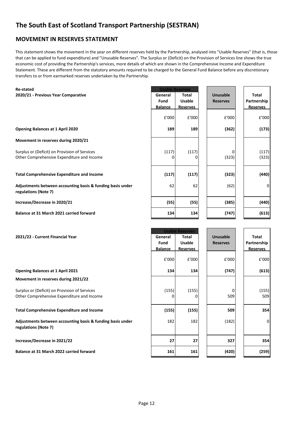# **MOVEMENT IN RESERVES STATEMENT**

This statement shows the movement in the year on different reserves held by the Partnership, analysed into "Usable Reserves" (that is, those that can be applied to fund expenditure) and "Unusable Reserves". The Surplus or (Deficit) on the Provision of Services line shows the true economic cost of providing the Partnership's services, more details of which are shown in the Comprehensive Income and Expenditure Statement. These are different from the statutory amounts required to be charged to the General Fund Balance before any discretionary transfers to or from earmarked reserves undertaken by the Partnership.

| <b>Re-stated</b>                                                                            |                | <b>Usable Reserves</b> |                 |                 |
|---------------------------------------------------------------------------------------------|----------------|------------------------|-----------------|-----------------|
| 2020/21 - Previous Year Comparative                                                         | General        | <b>Total</b>           | Unusable        | Total           |
|                                                                                             | Fund           | <b>Usable</b>          | <b>Reserves</b> | Partnership     |
|                                                                                             | <b>Balance</b> | <b>Reserves</b>        |                 | <b>Reserves</b> |
|                                                                                             | £'000          | £'000                  | £'000           | £'000           |
| <b>Opening Balances at 1 April 2020</b>                                                     | 189            | 189                    | (362)           | (173)           |
| Movement in reserves during 2020/21                                                         |                |                        |                 |                 |
| Surplus or (Deficit) on Provision of Services<br>Other Comprehensive Expenditure and Income | (117)<br>o     | (117)                  | (323)           | (117)<br>(323)  |
| <b>Total Comprehensive Expenditure and Income</b>                                           | (117)          | (117)                  | (323)           | (440)           |
| Adjustments between accounting basis & funding basis under<br>regulations (Note 7)          | 62             | 62                     | (62)            | 0               |
| Increase/Decrease in 2020/21                                                                | (55)           | (55)                   | (385)           | (440)           |
| Balance at 31 March 2021 carried forward                                                    | 134            | 134                    | (747)           | (613)           |
|                                                                                             |                | <b>Usable Reserves</b> |                 |                 |

| 2021/22 - Current Financial Year                                                            | General<br>Fund<br><b>Balance</b> | <b>Total</b><br><b>Usable</b><br><b>Reserves</b> | Unusable<br><b>Reserves</b> | Total<br>Partnership<br><b>Reserves</b> |
|---------------------------------------------------------------------------------------------|-----------------------------------|--------------------------------------------------|-----------------------------|-----------------------------------------|
|                                                                                             | £'000                             | £'000                                            | £'000                       | £'000                                   |
| <b>Opening Balances at 1 April 2021</b>                                                     | 134                               | 134                                              | (747)                       | (613)                                   |
| Movement in reserves during 2021/22                                                         |                                   |                                                  |                             |                                         |
| Surplus or (Deficit) on Provision of Services<br>Other Comprehensive Expenditure and Income | (155)                             | (155)                                            | U<br>509                    | (155)<br>509                            |
| <b>Total Comprehensive Expenditure and Income</b>                                           | (155)                             | (155)                                            | 509                         | 354                                     |
| Adjustments between accounting basis & funding basis under<br>regulations (Note 7)          | 182                               | 182                                              | (182)                       | $\mathbf{0}$                            |
| Increase/Decrease in 2021/22                                                                | 27                                | 27                                               | 327                         | 354                                     |
| Balance at 31 March 2022 carried forward                                                    | 161                               | 161                                              | (420)                       | (259)                                   |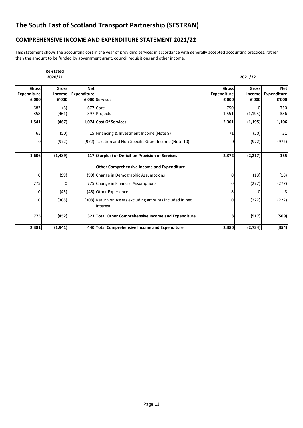# **COMPREHENSIVE INCOME AND EXPENDITURE STATEMENT 2021/22**

This statement shows the accounting cost in the year of providing services in accordance with generally accepted accounting practices, rather than the amount to be funded by government grant, council requisitions and other income.

|                                             | <b>Re-stated</b><br>2020/21     |                                  |                                                                      |                               | 2021/22                         |                                           |
|---------------------------------------------|---------------------------------|----------------------------------|----------------------------------------------------------------------|-------------------------------|---------------------------------|-------------------------------------------|
| <b>Gross</b><br><b>Expenditure</b><br>£'000 | <b>Gross</b><br>Income<br>£'000 | <b>Net</b><br><b>Expenditure</b> | £'000 Services                                                       | Gross<br>Expenditure<br>£'000 | <b>Gross</b><br>Income<br>£'000 | <b>Net</b><br><b>Expenditure</b><br>£'000 |
| 683<br>858                                  | (6)<br>(461)                    |                                  | 677 Core<br>397 Projects                                             | 750<br>1,551                  | (1, 195)                        | 750<br>356                                |
| 1,541                                       | (467)                           |                                  | 1,074 Cost Of Services                                               | 2,301                         | (1, 195)                        | 1,106                                     |
| 65                                          | (50)                            |                                  | 15 Financing & Investment Income (Note 9)                            | 71                            | (50)                            | 21                                        |
| 0                                           | (972)                           |                                  | (972) Taxation and Non-Specific Grant Income (Note 10)               | 0                             | (972)                           | (972)                                     |
| 1,606                                       | (1, 489)                        |                                  | 117 (Surplus) or Deficit on Provision of Services                    | 2,372                         | (2, 217)                        | 155                                       |
|                                             |                                 |                                  | <b>Other Comprehensive Income and Expenditure</b>                    |                               |                                 |                                           |
| 0                                           | (99)                            |                                  | (99) Change in Demographic Assumptions                               | 0                             | (18)                            | (18)                                      |
| 775                                         | 0                               |                                  | 775 Change in Financial Assumptions                                  | O                             | (277)                           | (277)                                     |
| 0                                           | (45)                            |                                  | (45) Other Experience                                                | 8                             | ŋ                               | 8                                         |
| 0                                           | (308)                           |                                  | (308) Return on Assets excluding amounts included in net<br>interest | 0                             | (222)                           | (222)                                     |
| 775                                         | (452)                           |                                  | 323 Total Other Comprehensive Income and Expenditure                 | 8                             | (517)                           | (509)                                     |
| 2,381                                       | (1, 941)                        |                                  | 440 Total Comprehensive Income and Expenditure                       | 2,380                         | (2,734)                         | (354)                                     |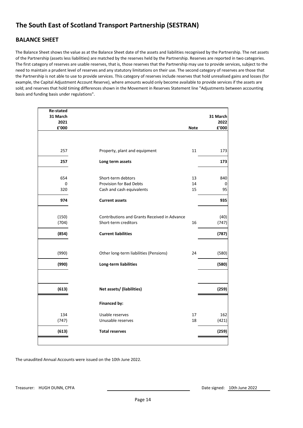# **BALANCE SHEET**

The Balance Sheet shows the value as at the Balance Sheet date of the assets and liabilities recognised by the Partnership. The net assets of the Partnership (assets less liabilities) are matched by the reserves held by the Partnership. Reserves are reported in two categories. The first category of reserves are usable reserves, that is, those reserves that the Partnership may use to provide services, subject to the need to maintain a prudent level of reserves and any statutory limitations on their use. The second category of reserves are those that the Partnership is not able to use to provide services. This category of reserves include reserves that hold unrealised gains and losses (for example, the Capital Adjustment Account Reserve), where amounts would only become available to provide services if the assets are sold; and reserves that hold timing differences shown in the Movement in Reserves Statement line "Adjustments between accounting basis and funding basis under regulations".

| <b>Re-stated</b><br>31 March |                                                                                   |                | 31 March       |
|------------------------------|-----------------------------------------------------------------------------------|----------------|----------------|
| 2021                         |                                                                                   |                | 2022           |
| £'000                        |                                                                                   | <b>Note</b>    | ${\bf f}$ '000 |
| 257                          | Property, plant and equipment                                                     | 11             | 173            |
| 257                          | Long term assets                                                                  |                | 173            |
| 654<br>0<br>320              | Short-term debtors<br><b>Provision for Bad Debts</b><br>Cash and cash equivalents | 13<br>14<br>15 | 840<br>0<br>95 |
| 974                          | <b>Current assets</b>                                                             |                | 935            |
| (150)<br>(704)               | Contributions and Grants Received in Advance<br>Short-term creditors              | 16             | (40)<br>(747)  |
| (854)                        | <b>Current liabilities</b>                                                        |                | (787)          |
| (990)                        | Other long-term liabilities (Pensions)                                            | 24             | (580)          |
| (990)                        | Long-term liabilities                                                             |                | (580)          |
|                              |                                                                                   |                |                |
| (613)                        | Net assets/ (liabilities)                                                         |                | (259)          |
|                              | <b>Financed by:</b>                                                               |                |                |
| 134                          | Usable reserves                                                                   | 17             | 162            |
| (747)                        | Unusable reserves                                                                 | 18             | (421)          |
| (613)                        | <b>Total reserves</b>                                                             |                | (259)          |
|                              |                                                                                   |                |                |

The unaudited Annual Accounts were issued on the 10th June 2022.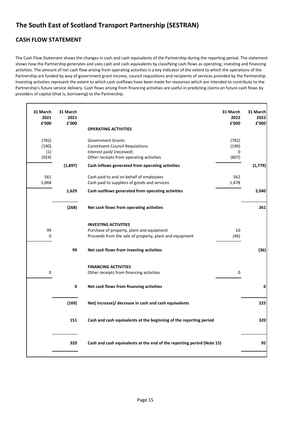# **CASH FLOW STATEMENT**

'n

The Cash Flow Statement shows the changes in cash and cash equivalents of the Partnership during the reporting period. The statement shows how the Partnership generates and uses cash and cash equivalents by classifying cash flows as operating, investing and financing activities. The amount of net cash flow arising from operating activities is a key indicator of the extent to which the operations of the Partnership are funded by way of government grant income, council requisitions and recipients of services provided by the Partnership. Investing activities represent the extent to which cash outflows have been made for resources which are intended to contribute to the Partnership's future service delivery. Cash flows arising from financing activities are useful in predicting claims on future cash flows by providers of capital (that is, borrowing) to the Partnership.

| 31 March<br>2021<br>£'000      | 31 March<br>2021<br>£'000 | 31 March<br>£'000                                                                                                                                                       | 31 March<br>2022<br>2022<br>£'000 |
|--------------------------------|---------------------------|-------------------------------------------------------------------------------------------------------------------------------------------------------------------------|-----------------------------------|
|                                |                           | <b>OPERATING ACTIVITIES</b>                                                                                                                                             |                                   |
| (782)<br>(190)<br>(1)<br>(924) |                           | <b>Government Grants</b><br>(782)<br><b>Constituent Council Requisitions</b><br>(190)<br>Interest paid/ (received)<br>Other receipts from operating activities<br>(807) | 0                                 |
|                                | (1,897)                   | Cash inflows generated from operating activities                                                                                                                        | (1, 779)                          |
| 561<br>1,068                   |                           | Cash paid to and on behalf of employees<br>Cash paid to suppliers of goods and services<br>1,478                                                                        | 562                               |
|                                | 1,629                     | Cash outflows generated from operating activities                                                                                                                       | 2,040                             |
|                                | (268)                     | Net cash flows from operating activities                                                                                                                                | 261                               |
|                                |                           | <b>INVESTING ACTIVITIES</b>                                                                                                                                             |                                   |
| 99                             |                           | Purchase of property, plant and equipment                                                                                                                               | 10                                |
| 0                              |                           | Proceeds from the sale of property, plant and equipment                                                                                                                 | (46)                              |
|                                | 99                        | Net cash flows from investing activities                                                                                                                                | (36)                              |
|                                |                           | <b>FINANCING ACTIVITIES</b>                                                                                                                                             |                                   |
| 0                              |                           | Other receipts from financing activities                                                                                                                                | 0                                 |
|                                | 0                         | Net cash flows from financing activities                                                                                                                                | 0                                 |
|                                | (169)                     | Net(increase)/ decrease in cash and cash equivalents                                                                                                                    | 225                               |
|                                | 151                       | Cash and cash equivalents at the beginning of the reporting period                                                                                                      | 320                               |
|                                | 320                       | Cash and cash equivalents at the end of the reporting period (Note 15)                                                                                                  | 95                                |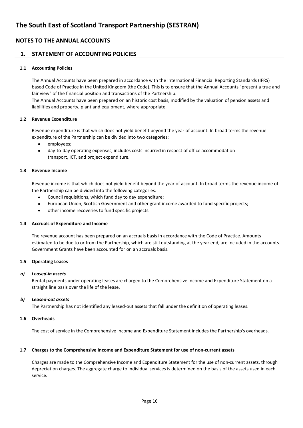### **1. STATEMENT OF ACCOUNTING POLICIES**

#### **1.1 Accounting Policies**

The Annual Accounts have been prepared in accordance with the International Financial Reporting Standards (IFRS) based Code of Practice in the United Kingdom (the Code). This is to ensure that the Annual Accounts "present a true and fair view" of the financial position and transactions of the Partnership.

The Annual Accounts have been prepared on an historic cost basis, modified by the valuation of pension assets and liabilities and property, plant and equipment, where appropriate.

#### **1.2 Revenue Expenditure**

Revenue expenditure is that which does not yield benefit beyond the year of account. In broad terms the revenue expenditure of the Partnership can be divided into two categories:

- employees;
- day-to-day operating expenses, includes costs incurred in respect of office accommodation transport, ICT, and project expenditure.

#### **1.3 Revenue Income**

Revenue income is that which does not yield benefit beyond the year of account. In broad terms the revenue income of the Partnership can be divided into the following categories:

- Council requisitions, which fund day to day expenditure;
- European Union, Scottish Government and other grant income awarded to fund specific projects;
- other income recoveries to fund specific projects.

#### **1.4 Accruals of Expenditure and Income**

The revenue account has been prepared on an accruals basis in accordance with the Code of Practice. Amounts estimated to be due to or from the Partnership, which are still outstanding at the year end, are included in the accounts. Government Grants have been accounted for on an accruals basis.

#### **1.5 Operating Leases**

#### *a) Leased-in assets*

Rental payments under operating leases are charged to the Comprehensive Income and Expenditure Statement on a straight line basis over the life of the lease.

#### *b) Leased-out assets*

The Partnership has not identified any leased-out assets that fall under the definition of operating leases.

#### **1.6 Overheads**

The cost of service in the Comprehensive Income and Expenditure Statement includes the Partnership's overheads.

#### **1.7 Charges to the Comprehensive Income and Expenditure Statement for use of non-current assets**

Charges are made to the Comprehensive Income and Expenditure Statement for the use of non-current assets, through depreciation charges. The aggregate charge to individual services is determined on the basis of the assets used in each service.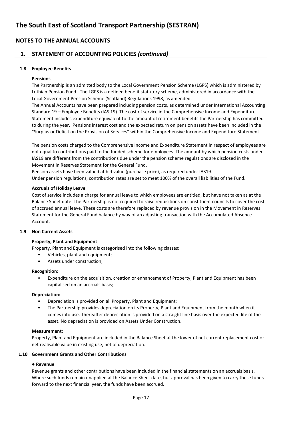### **1. STATEMENT OF ACCOUNTING POLICIES** *(continued)*

#### **1.8 Employee Benefits**

#### **Pensions**

The Partnership is an admitted body to the Local Government Pension Scheme (LGPS) which is administered by Lothian Pension Fund. The LGPS is a defined benefit statutory scheme, administered in accordance with the Local Government Pension Scheme (Scotland) Regulations 1998, as amended.

The Annual Accounts have been prepared including pension costs, as determined under International Accounting Standard 19 – Employee Benefits (IAS 19). The cost of service in the Comprehensive Income and Expenditure Statement includes expenditure equivalent to the amount of retirement benefits the Partnership has committed to during the year. Pensions interest cost and the expected return on pension assets have been included in the "Surplus or Deficit on the Provision of Services" within the Comprehensive Income and Expenditure Statement.

The pension costs charged to the Comprehensive Income and Expenditure Statement in respect of employees are not equal to contributions paid to the funded scheme for employees. The amount by which pension costs under IAS19 are different from the contributions due under the pension scheme regulations are disclosed in the Movement in Reserves Statement for the General Fund.

Pension assets have been valued at bid value (purchase price), as required under IAS19. Under pension regulations, contribution rates are set to meet 100% of the overall liabilities of the Fund.

#### **Accruals of Holiday Leave**

Cost of service includes a charge for annual leave to which employees are entitled, but have not taken as at the Balance Sheet date. The Partnership is not required to raise requisitions on constituent councils to cover the cost of accrued annual leave. These costs are therefore replaced by revenue provision in the Movement in Reserves Statement for the General Fund balance by way of an adjusting transaction with the Accumulated Absence Account.

#### **1.9 Non Current Assets**

#### **Property, Plant and Equipment**

Property, Plant and Equipment is categorised into the following classes:

- Vehicles, plant and equipment;
- Assets under construction;

#### **Recognition:**

• Expenditure on the acquisition, creation or enhancement of Property, Plant and Equipment has been capitalised on an accruals basis;

#### **Depreciation:**

- Depreciation is provided on all Property, Plant and Equipment;
- The Partnership provides depreciation on its Property, Plant and Equipment from the month when it comes into use. Thereafter depreciation is provided on a straight line basis over the expected life of the asset. No depreciation is provided on Assets Under Construction.

#### **Measurement:**

Property, Plant and Equipment are included in the Balance Sheet at the lower of net current replacement cost or net realisable value in existing use, net of depreciation.

#### **1.10 Government Grants and Other Contributions**

#### ● **Revenue**

Revenue grants and other contributions have been included in the financial statements on an accruals basis. Where such funds remain unapplied at the Balance Sheet date, but approval has been given to carry these funds forward to the next financial year, the funds have been accrued.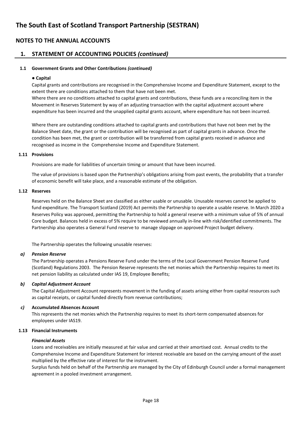### **1. STATEMENT OF ACCOUNTING POLICIES** *(continued)*

#### **1.1 Government Grants and Other Contributions** *(continued)*

#### ● **Capital**

Capital grants and contributions are recognised in the Comprehensive Income and Expenditure Statement, except to the extent there are conditions attached to them that have not been met.

Where there are no conditions attached to capital grants and contributions, these funds are a reconciling item in the Movement in Reserves Statement by way of an adjusting transaction with the capital adjustment account where expenditure has been incurred and the unapplied capital grants account, where expenditure has not been incurred.

Where there are outstanding conditions attached to capital grants and contributions that have not been met by the Balance Sheet date, the grant or the contribution will be recognised as part of capital grants in advance. Once the condition has been met, the grant or contribution will be transferred from capital grants received in advance and recognised as income in the Comprehensive Income and Expenditure Statement.

#### **1.11 Provisions**

Provisions are made for liabilities of uncertain timing or amount that have been incurred.

The value of provisions is based upon the Partnership's obligations arising from past events, the probability that a transfer of economic benefit will take place, and a reasonable estimate of the obligation.

#### **1.12 Reserves**

Reserves held on the Balance Sheet are classified as either usable or unusable. Unusable reserves cannot be applied to fund expenditure. The Transport Scotland (2019) Act permits the Partnership to operate a usable reserve. In March 2020 a Reserves Policy was approved, permitting the Partnership to hold a general reserve with a minimum value of 5% of annual Core budget. Balances held in excess of 5% require to be reviewed annually in-line with risk/identified commitments. The Partnership also operates a General Fund reserve to manage slippage on approved Project budget delivery.

The Partnership operates the following unusable reserves:

#### *a) Pension Reserve*

The Partnership operates a Pensions Reserve Fund under the terms of the Local Government Pension Reserve Fund (Scotland) Regulations 2003. The Pension Reserve represents the net monies which the Partnership requires to meet its net pension liability as calculated under IAS 19, Employee Benefits;

#### *b) Capital Adjustment Account*

The Capital Adjustment Account represents movement in the funding of assets arising either from capital resources such as capital receipts, or capital funded directly from revenue contributions;

#### *c)* **Accumulated Absences Account**

This represents the net monies which the Partnership requires to meet its short-term compensated absences for employees under IAS19.

#### **1.13 Financial Instruments**

#### *Financial Assets*

Loans and receivables are initially measured at fair value and carried at their amortised cost. Annual credits to the Comprehensive Income and Expenditure Statement for interest receivable are based on the carrying amount of the asset multiplied by the effective rate of interest for the instrument.

Surplus funds held on behalf of the Partnership are managed by the City of Edinburgh Council under a formal management agreement in a pooled investment arrangement.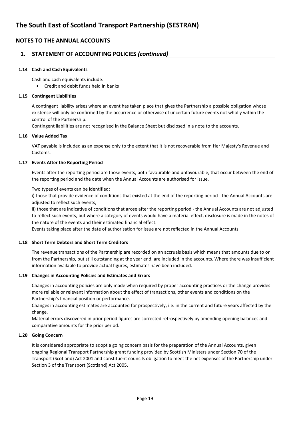### **1. STATEMENT OF ACCOUNTING POLICIES** *(continued)*

#### **1.14 Cash and Cash Equivalents**

Cash and cash equivalents include:

• Credit and debit funds held in banks

#### **1.15 Contingent Liabilities**

A contingent liability arises where an event has taken place that gives the Partnership a possible obligation whose existence will only be confirmed by the occurrence or otherwise of uncertain future events not wholly within the control of the Partnership.

Contingent liabilities are not recognised in the Balance Sheet but disclosed in a note to the accounts.

#### **1.16 Value Added Tax**

VAT payable is included as an expense only to the extent that it is not recoverable from Her Majesty's Revenue and Customs.

#### **1.17 Events After the Reporting Period**

Events after the reporting period are those events, both favourable and unfavourable, that occur between the end of the reporting period and the date when the Annual Accounts are authorised for issue.

Two types of events can be identified:

i) those that provide evidence of conditions that existed at the end of the reporting period - the Annual Accounts are adjusted to reflect such events;

ii) those that are indicative of conditions that arose after the reporting period - the Annual Accounts are not adjusted to reflect such events, but where a category of events would have a material effect, disclosure is made in the notes of the nature of the events and their estimated financial effect.

Events taking place after the date of authorisation for issue are not reflected in the Annual Accounts.

#### **1.18 Short Term Debtors and Short Term Creditors**

The revenue transactions of the Partnership are recorded on an accruals basis which means that amounts due to or from the Partnership, but still outstanding at the year end, are included in the accounts. Where there was insufficient information available to provide actual figures, estimates have been included.

#### **1.19 Changes in Accounting Policies and Estimates and Errors**

Changes in accounting policies are only made when required by proper accounting practices or the change provides more reliable or relevant information about the effect of transactions, other events and conditions on the Partnership's financial position or performance.

Changes in accounting estimates are accounted for prospectively; i.e. in the current and future years affected by the change.

Material errors discovered in prior period figures are corrected retrospectively by amending opening balances and comparative amounts for the prior period.

#### **1.20 Going Concern**

It is considered appropriate to adopt a going concern basis for the preparation of the Annual Accounts, given ongoing Regional Transport Partnership grant funding provided by Scottish Ministers under Section 70 of the Transport (Scotland) Act 2001 and constituent councils obligation to meet the net expenses of the Partnership under Section 3 of the Transport (Scotland) Act 2005.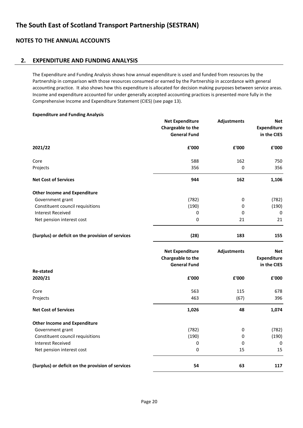### **2. EXPENDITURE AND FUNDING ANALYSIS**

The Expenditure and Funding Analysis shows how annual expenditure is used and funded from resources by the Partnership in comparison with those resources consumed or earned by the Partnership in accordance with general accounting practice. It also shows how this expenditure is allocated for decision making purposes between service areas. Income and expenditure accounted for under generally accepted accounting practices is presented more fully in the Comprehensive Income and Expenditure Statement (CIES) (see page 13).

| <b>Expenditure and Funding Analysis</b>           |                        |                    |                    |
|---------------------------------------------------|------------------------|--------------------|--------------------|
|                                                   | <b>Net Expenditure</b> | <b>Adjustments</b> | <b>Net</b>         |
|                                                   | Chargeable to the      |                    | <b>Expenditure</b> |
|                                                   | <b>General Fund</b>    |                    | in the CIES        |
| 2021/22                                           | £'000                  | £'000              | £'000              |
| Core                                              | 588                    | 162                | 750                |
| Projects                                          | 356                    | 0                  | 356                |
| <b>Net Cost of Services</b>                       | 944                    | 162                | 1,106              |
| <b>Other Income and Expenditure</b>               |                        |                    |                    |
| Government grant                                  | (782)                  | 0                  | (782)              |
| Constituent council requisitions                  | (190)                  | 0                  | (190)              |
| <b>Interest Received</b>                          | 0                      | 0                  | 0                  |
| Net pension interest cost                         | $\pmb{0}$              | 21                 | 21                 |
| (Surplus) or deficit on the provision of services | (28)                   | 183                | 155                |
|                                                   | <b>Net Expenditure</b> | <b>Adjustments</b> | <b>Net</b>         |
|                                                   | Chargeable to the      |                    | <b>Expenditure</b> |
|                                                   | <b>General Fund</b>    |                    | in the CIES        |
| <b>Re-stated</b>                                  |                        |                    |                    |
| 2020/21                                           | £'000                  | £'000              | £'000              |
| Core                                              | 563                    | 115                | 678                |
| Projects                                          | 463                    | (67)               | 396                |
| <b>Net Cost of Services</b>                       | 1,026                  | 48                 | 1,074              |
| <b>Other Income and Expenditure</b>               |                        |                    |                    |
| Government grant                                  | (782)                  | 0                  | (782)              |
| Constituent council requisitions                  | (190)                  | 0                  | (190)              |
| <b>Interest Received</b>                          | 0                      | 0                  | 0                  |
| Net pension interest cost                         | 0                      | 15                 | 15                 |
| (Surplus) or deficit on the provision of services | 54                     | 63                 | 117                |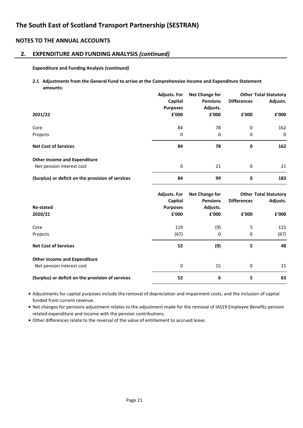### **2. EXPENDITURE AND FUNDING ANALYSIS** *(continued)*

#### **Expenditure and Funding Analysis** *(continued)*

**2.1 Adjustments from the General Fund to arrive at the Comprehensive Income and Expenditure Statement amounts:**

|                                                   | <b>Adjusts. For</b><br>Capital | Net Change for<br><b>Pensions</b> | <b>Differences</b> | <b>Other Total Statutory</b><br>Adjusts. |
|---------------------------------------------------|--------------------------------|-----------------------------------|--------------------|------------------------------------------|
| 2021/22                                           | <b>Purposes</b><br>£'000       | Adjusts.<br>£'000                 | £'000              | £'000                                    |
| Core                                              | 84                             | 78                                | 0                  | 162                                      |
| Projects                                          | 0                              | 0                                 | 0                  | 0                                        |
| <b>Net Cost of Services</b>                       | 84                             | 78                                | 0                  | 162                                      |
| <b>Other Income and Expenditure</b>               |                                |                                   |                    |                                          |
| Net pension interest cost                         | 0                              | 21                                | 0                  | 21                                       |
| (Surplus) or deficit on the provision of services | 84                             | 99                                | 0                  | 183                                      |

| <b>Re-stated</b><br>2020/21                                      | <b>Adjusts. For</b><br>Capital<br><b>Purposes</b><br>£'000 | <b>Net Change for</b><br><b>Pensions</b><br>Adjusts.<br>£'000 | <b>Differences</b><br>£'000 | <b>Other Total Statutory</b><br>Adjusts.<br>£'000 |
|------------------------------------------------------------------|------------------------------------------------------------|---------------------------------------------------------------|-----------------------------|---------------------------------------------------|
| Core<br>Projects                                                 | 119<br>(67)                                                | (9)<br>0                                                      | 5<br>0                      | 115<br>(67)                                       |
| <b>Net Cost of Services</b>                                      | 52                                                         | (9)                                                           | 5                           | 48                                                |
| <b>Other Income and Expenditure</b><br>Net pension interest cost | 0                                                          | 15                                                            | 0                           | 15                                                |
| (Surplus) or deficit on the provision of services                | 52                                                         | 6                                                             | 5                           | 63                                                |

**•** Adjustments for capital purposes include the removal of depreciation and impairment costs, and the inclusion of capital funded from current revenue.

**•** Net changes for pensions adjustment relates to the adjustment made for the removal of IAS19 Employee Benefits pension related expenditure and income with the pension contributions.

**•** Other differences relate to the reversal of the value of entitlement to accrued leave.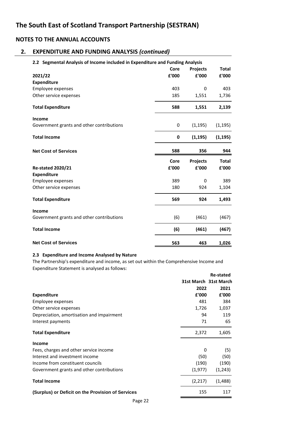# **2. EXPENDITURE AND FUNDING ANALYSIS** *(continued)*

| 2.2 Segmental Analysis of Income included in Expenditure and Funding Analysis |             |                 |              |  |  |
|-------------------------------------------------------------------------------|-------------|-----------------|--------------|--|--|
|                                                                               | Core        | <b>Projects</b> | <b>Total</b> |  |  |
| 2021/22                                                                       | £'000       | £'000           | £'000        |  |  |
| <b>Expenditure</b>                                                            |             |                 |              |  |  |
| Employee expenses                                                             | 403         | $\Omega$        | 403          |  |  |
| Other service expenses                                                        | 185         | 1,551           | 1,736        |  |  |
| <b>Total Expenditure</b>                                                      | 588         | 1,551           | 2,139        |  |  |
| Income                                                                        |             |                 |              |  |  |
| Government grants and other contributions                                     | $\mathbf 0$ | (1, 195)        | (1, 195)     |  |  |
| <b>Total Income</b>                                                           | $\mathbf 0$ | (1, 195)        | (1, 195)     |  |  |
| <b>Net Cost of Services</b>                                                   | 588         | 356             | 944          |  |  |
|                                                                               | Core        | <b>Projects</b> | <b>Total</b> |  |  |
| <b>Re-stated 2020/21</b>                                                      | £'000       | £'000           | £'000        |  |  |
| <b>Expenditure</b>                                                            |             |                 |              |  |  |
| Employee expenses                                                             | 389         | 0               | 389          |  |  |
| Other service expenses                                                        | 180         | 924             | 1,104        |  |  |
| <b>Total Expenditure</b>                                                      | 569         | 924             | 1,493        |  |  |
| Income                                                                        |             |                 |              |  |  |
| Government grants and other contributions                                     | (6)         | (461)           | (467)        |  |  |
| <b>Total Income</b>                                                           | (6)         | (461)           | (467)        |  |  |
| <b>Net Cost of Services</b>                                                   | 563         | 463             | 1,026        |  |  |

#### **2.3 Expenditure and Income Analysed by Nature**

The Partnership's expenditure and income, as set out within the Comprehensive Income and Expenditure Statement is analysed as follows:

|                                                   |                       | Re-stated |
|---------------------------------------------------|-----------------------|-----------|
|                                                   | 31st March 31st March |           |
|                                                   | 2022                  | 2021      |
| <b>Expenditure</b>                                | £'000                 | £'000     |
| Employee expenses                                 | 481                   | 384       |
| Other service expenses                            | 1,726                 | 1,037     |
| Depreciation, amortisation and impairment         | 94                    | 119       |
| Interest payments                                 | 71                    | 65        |
| <b>Total Expenditure</b>                          | 2,372                 | 1,605     |
| <b>Income</b>                                     |                       |           |
| Fees, charges and other service income            | 0                     | (5)       |
| Interest and investment income                    | (50)                  | (50)      |
| Income from constituent councils                  | (190)                 | (190)     |
| Government grants and other contributions         | (1,977)               | (1,243)   |
| <b>Total Income</b>                               | (2,217)               | (1,488)   |
| (Surplus) or Deficit on the Provision of Services | 155                   | 117       |
| $\sim$ $\sim$                                     |                       |           |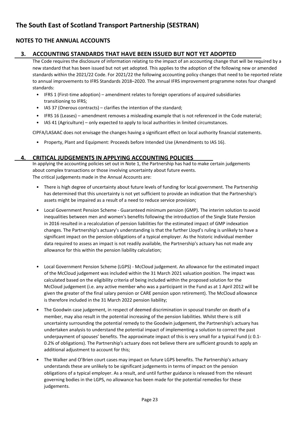# **3. ACCOUNTING STANDARDS THAT HAVE BEEN ISSUED BUT NOT YET ADOPTED**

The Code requires the disclosure of information relating to the impact of an accounting change that will be required by a new standard that has been issued but not yet adopted. This applies to the adoption of the following new or amended standards within the 2021/22 Code. For 2021/22 the following accounting policy changes that need to be reported relate to annual improvements to IFRS Standards 2018–2020. The annual IFRS improvement programme notes four changed standards:

- IFRS 1 (First-time adoption) amendment relates to foreign operations of acquired subsidiaries transitioning to IFRS;
- IAS 37 (Onerous contracts) clarifies the intention of the standard;
- IFRS 16 (Leases) amendment removes a misleading example that is not referenced in the Code material;
- IAS 41 (Agriculture) only expected to apply to local authorities in limited circumstances.

CIPFA/LASAAC does not envisage the changes having a significant effect on local authority financial statements.

• Property, Plant and Equipment: Proceeds before Intended Use (Amendments to IAS 16).

#### **4. CRITICAL JUDGEMENTS IN APPLYING ACCOUNTING POLICIES**

In applying the accounting policies set out in Note 1, the Partnership has had to make certain judgements about complex transactions or those involving uncertainty about future events. The critical judgements made in the Annual Accounts are:

- There is high degree of uncertainty about future levels of funding for local government. The Partnership has determined that this uncertainty is not yet sufficient to provide an indication that the Partnership's assets might be impaired as a result of a need to reduce service provision;
- Local Government Pension Scheme - Guaranteed minimum pension (GMP). The interim solution to avoid inequalities between men and women's benefits following the introduction of the Single State Pension in 2016 resulted in a recalculation of pension liabilities for the estimated impact of GMP indexation changes. The Partnership's actuary's understanding is that the further Lloyd's ruling is unlikely to have a significant impact on the pension obligations of a typical employer. As the historic individual member data required to assess an impact is not readily available, the Partnership's actuary has not made any allowance for this within the pension liability calculation;
- Local Government Pension Scheme (LGPS) - McCloud judgement. An allowance for the estimated impact of the McCloud judgement was included within the 31 March 2021 valuation position. The impact was calculated based on the eligibility criteria of being included within the proposed solution for the McCloud judgement (i.e. any active member who was a participant in the Fund as at 1 April 2012 will be given the greater of the final salary pension or CARE pension upon retirement). The McCloud allowance is therefore included in the 31 March 2022 pension liability;
- The Goodwin case judgement, in respect of deemed discrimination in spousal transfer on death of a member, may also result in the potential increasing of the pension liabilities. Whilst there is still uncertainty surrounding the potential remedy to the Goodwin judgement, the Partnership's actuary has undertaken analysis to understand the potential impact of implementing a solution to correct the past underpayment of spouses' benefits. The approximate impact of this is very small for a typical Fund (c 0.1- 0.2% of obligations). The Partnership's actuary does not believe there are sufficient grounds to apply an additional adjustment to account for this;
- The Walker and O'Brien court cases may impact on future LGPS benefits. The Partnership's actuary understands these are unlikely to be significant judgements in terms of impact on the pension obligations of a typical employer. As a result, and until further guidance is released from the relevant governing bodies in the LGPS, no allowance has been made for the potential remedies for these judgements.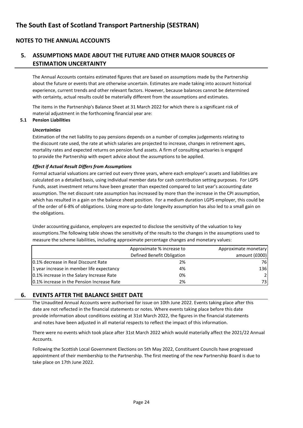# **5. ASSUMPTIONS MADE ABOUT THE FUTURE AND OTHER MAJOR SOURCES OF ESTIMATION UNCERTAINTY**

The Annual Accounts contains estimated figures that are based on assumptions made by the Partnership about the future or events that are otherwise uncertain. Estimates are made taking into account historical experience, current trends and other relevant factors. However, because balances cannot be determined with certainty, actual results could be materially different from the assumptions and estimates.

The items in the Partnership's Balance Sheet at 31 March 2022 for which there is a significant risk of material adjustment in the forthcoming financial year are:

#### **5.1 Pension Liabilities**

#### *Uncertainties*

Estimation of the net liability to pay pensions depends on a number of complex judgements relating to the discount rate used, the rate at which salaries are projected to increase, changes in retirement ages, mortality rates and expected returns on pension fund assets. A firm of consulting actuaries is engaged to provide the Partnership with expert advice about the assumptions to be applied.

#### *Effect if Actual Result Differs from Assumptions*

Formal actuarial valuations are carried out every three years, where each employer's assets and liabilities are calculated on a detailed basis, using individual member data for cash contribution setting purposes. For LGPS Funds, asset investment returns have been greater than expected compared to last year's accounting date assumption. The net discount rate assumption has increased by more than the increase in the CPI assumption, which has resulted in a gain on the balance sheet position. For a medium duration LGPS employer, this could be of the order of 6-8% of obligations. Using more up-to-date longevity assumption has also led to a small gain on the obligations.

Under accounting guidance, employers are expected to disclose the sensitivity of the valuation to key assumptions.The following table shows the sensitivity of the results to the changes in the assumptions used to measure the scheme liabilities, including approximate percentage changes and monetary values:

|                                            | Approximate % increase to  | Approximate monetary |
|--------------------------------------------|----------------------------|----------------------|
|                                            | Defined Benefit Obligation | amount (£000)        |
| 0.1% decrease in Real Discount Rate        | 2%                         | 76                   |
| 1 year increase in member life expectancy  | 4%                         | 136                  |
| 0.1% increase in the Salary Increase Rate  | 0%                         | 2                    |
| 0.1% increase in the Pension Increase Rate | 2%                         | 73                   |

### **6. EVENTS AFTER THE BALANCE SHEET DATE**

The Unaudited Annual Accounts were authorised for issue on 10th June 2022. Events taking place after this date are not reflected in the financial statements or notes. Where events taking place before this date provide information about conditions existing at 31st March 2022, the figures in the financial statements and notes have been adjusted in all material respects to reflect the impact of this information.

There were no events which took place after 31st March 2022 which would materially affect the 2021/22 Annual Accounts.

Following the Scottish Local Government Elections on 5th May 2022, Constituent Councils have progressed appointment of their membership to the Partnership. The first meeting of the new Partnership Board is due to take place on 17th June 2022.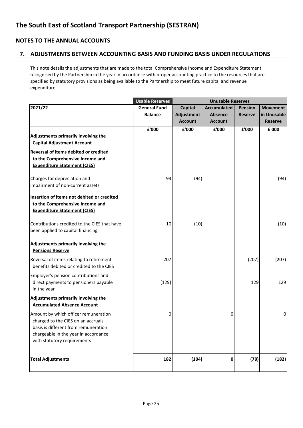### **7. ADJUSTMENTS BETWEEN ACCOUNTING BASIS AND FUNDING BASIS UNDER REGULATIONS**

This note details the adjustments that are made to the total Comprehensive Income and Expenditure Statement recognised by the Partnership in the year in accordance with proper accounting practice to the resources that are specified by statutory provisions as being available to the Partnership to meet future capital and revenue expenditure.

| <b>Usable Reserves</b> | <b>Unusable Reserves</b> |                    |                |                 |
|------------------------|--------------------------|--------------------|----------------|-----------------|
| <b>General Fund</b>    | <b>Capital</b>           | <b>Accumulated</b> | <b>Pension</b> | <b>Movement</b> |
| <b>Balance</b>         | Adjustment               | <b>Absence</b>     | <b>Reserve</b> | in Unusable     |
|                        | <b>Account</b>           | <b>Account</b>     |                | <b>Reserve</b>  |
| £'000                  | £'000                    | £'000              | £'000          | £'000           |
|                        |                          |                    |                |                 |
|                        |                          |                    |                |                 |
|                        |                          |                    |                |                 |
|                        |                          |                    |                |                 |
|                        |                          |                    |                |                 |
| 94                     | (94)                     |                    |                | (94)            |
|                        |                          |                    |                |                 |
|                        |                          |                    |                |                 |
|                        |                          |                    |                |                 |
|                        |                          |                    |                |                 |
| 10                     |                          |                    |                | (10)            |
|                        |                          |                    |                |                 |
|                        |                          |                    |                |                 |
|                        |                          |                    |                |                 |
| 207                    |                          |                    | (207)          | (207)           |
|                        |                          |                    |                |                 |
|                        |                          |                    |                |                 |
| (129)                  |                          |                    |                | 129             |
|                        |                          |                    |                |                 |
|                        |                          |                    |                |                 |
|                        |                          |                    |                |                 |
| 0                      |                          | 0                  |                | $\pmb{0}$       |
|                        |                          |                    |                |                 |
|                        |                          |                    |                |                 |
|                        |                          |                    |                |                 |
|                        |                          |                    |                |                 |
|                        |                          |                    |                |                 |
|                        |                          |                    |                | (182)           |
|                        | 182                      | (10)               | (104)<br>0     | 129<br>(78)     |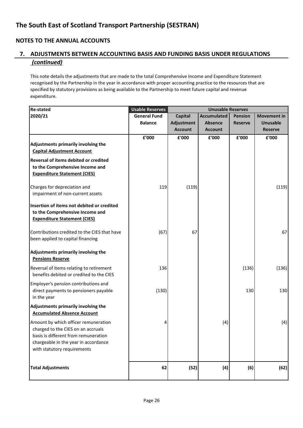# **NOTES TO THE ANNUAL ACCOUNTS**

# **7. ADJUSTMENTS BETWEEN ACCOUNTING BASIS AND FUNDING BASIS UNDER REGULATIONS**  *(continued)*

This note details the adjustments that are made to the total Comprehensive Income and Expenditure Statement recognised by the Partnership in the year in accordance with proper accounting practice to the resources that are specified by statutory provisions as being available to the Partnership to meet future capital and revenue expenditure.

| <b>Re-stated</b>                             | <b>Usable Reserves</b> |                   | <b>Unusable Reserves</b> |                |                    |
|----------------------------------------------|------------------------|-------------------|--------------------------|----------------|--------------------|
| 2020/21                                      | <b>General Fund</b>    | <b>Capital</b>    | <b>Accumulated</b>       | <b>Pension</b> | <b>Movement in</b> |
|                                              | <b>Balance</b>         | <b>Adjustment</b> | <b>Absence</b>           | <b>Reserve</b> | <b>Unusable</b>    |
|                                              |                        | <b>Account</b>    | <b>Account</b>           |                | <b>Reserve</b>     |
|                                              | £'000                  | £'000             | £'000                    | £'000          | £'000              |
| Adjustments primarily involving the          |                        |                   |                          |                |                    |
| <b>Capital Adjustment Account</b>            |                        |                   |                          |                |                    |
| <b>Reversal of items debited or credited</b> |                        |                   |                          |                |                    |
| to the Comprehensive Income and              |                        |                   |                          |                |                    |
| <b>Expenditure Statement (CIES)</b>          |                        |                   |                          |                |                    |
| Charges for depreciation and                 | 119                    | (119)             |                          |                | (119)              |
| impairment of non-current assets             |                        |                   |                          |                |                    |
| Insertion of items not debited or credited   |                        |                   |                          |                |                    |
| to the Comprehensive Income and              |                        |                   |                          |                |                    |
| <b>Expenditure Statement (CIES)</b>          |                        |                   |                          |                |                    |
| Contributions credited to the CIES that have | (67)                   | 67                |                          |                | 67                 |
| been applied to capital financing            |                        |                   |                          |                |                    |
|                                              |                        |                   |                          |                |                    |
| Adjustments primarily involving the          |                        |                   |                          |                |                    |
| <b>Pensions Reserve</b>                      |                        |                   |                          |                |                    |
| Reversal of items relating to retirement     | 136                    |                   |                          | (136)          | (136)              |
| benefits debited or credited to the CIES     |                        |                   |                          |                |                    |
| Employer's pension contributions and         |                        |                   |                          |                |                    |
| direct payments to pensioners payable        | (130)                  |                   |                          | 130            | 130                |
| in the year                                  |                        |                   |                          |                |                    |
| Adjustments primarily involving the          |                        |                   |                          |                |                    |
| <b>Accumulated Absence Account</b>           |                        |                   |                          |                |                    |
| Amount by which officer remuneration         | 4                      |                   | (4)                      |                | (4)                |
| charged to the CIES on an accruals           |                        |                   |                          |                |                    |
| basis is different from remuneration         |                        |                   |                          |                |                    |
| chargeable in the year in accordance         |                        |                   |                          |                |                    |
| with statutory requirements                  |                        |                   |                          |                |                    |
|                                              |                        |                   |                          |                |                    |
| <b>Total Adjustments</b>                     | 62                     | (52)              | (4)                      | (6)            | (62)               |
|                                              |                        |                   |                          |                |                    |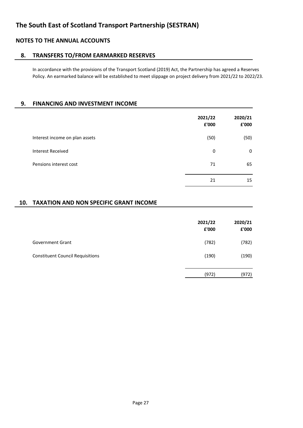### **8. TRANSFERS TO/FROM EARMARKED RESERVES**

In accordance with the provisions of the Transport Scotland (2019) Act, the Partnership has agreed a Reserves Policy. An earmarked balance will be established to meet slippage on project delivery from 2021/22 to 2022/23.

### **9. FINANCING AND INVESTMENT INCOME**

|                                | 2021/22<br>£'000 | 2020/21<br>£'000 |
|--------------------------------|------------------|------------------|
| Interest income on plan assets | (50)             | (50)             |
| <b>Interest Received</b>       | 0                | 0                |
| Pensions interest cost         | 71               | 65               |
|                                | 21               | 15               |

### **10. TAXATION AND NON SPECIFIC GRANT INCOME**

|                                         | 2021/22<br>£'000 | 2020/21<br>£'000 |
|-----------------------------------------|------------------|------------------|
| <b>Government Grant</b>                 | (782)            | (782)            |
| <b>Constituent Council Requisitions</b> | (190)            | (190)            |
|                                         | (972)            | (972)            |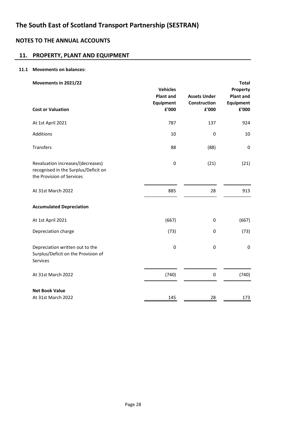# **NOTES TO THE ANNUAL ACCOUNTS**

# **11. PROPERTY, PLANT AND EQUIPMENT**

#### **11.1 Movements on balances:**

| Movements in 2021/22                                                                                   | <b>Vehicles</b>           |                       | <b>Total</b><br>Property |
|--------------------------------------------------------------------------------------------------------|---------------------------|-----------------------|--------------------------|
|                                                                                                        | <b>Plant and</b>          | <b>Assets Under</b>   | <b>Plant and</b>         |
| <b>Cost or Valuation</b>                                                                               | <b>Equipment</b><br>£'000 | Construction<br>£'000 | Equipment<br>£'000       |
| At 1st April 2021                                                                                      | 787                       | 137                   | 924                      |
| Additions                                                                                              | 10                        | 0                     | 10                       |
| <b>Transfers</b>                                                                                       | 88                        | (88)                  | 0                        |
| Revaluation increases/(decreases)<br>recognised in the Surplus/Deficit on<br>the Provision of Services | $\pmb{0}$                 | (21)                  | (21)                     |
| At 31st March 2022                                                                                     | 885                       | 28                    | 913                      |
| <b>Accumulated Depreciation</b>                                                                        |                           |                       |                          |
| At 1st April 2021                                                                                      | (667)                     | 0                     | (667)                    |
| Depreciation charge                                                                                    | (73)                      | 0                     | (73)                     |
| Depreciation written out to the<br>Surplus/Deficit on the Provision of<br>Services                     | $\pmb{0}$                 | 0                     | $\pmb{0}$                |
| At 31st March 2022                                                                                     | (740)                     | 0                     | (740)                    |
| <b>Net Book Value</b>                                                                                  |                           |                       |                          |
| At 31st March 2022                                                                                     | 145                       | 28                    | 173                      |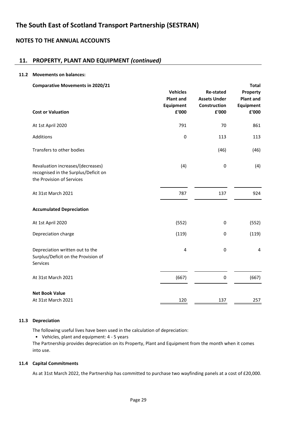# **NOTES TO THE ANNUAL ACCOUNTS**

# **11. PROPERTY, PLANT AND EQUIPMENT** *(continued)*

#### **11.2 Movements on balances:**

| <b>Comparative Movements in 2020/21</b>                                                                |                                     |                                         | <b>Total</b>                 |
|--------------------------------------------------------------------------------------------------------|-------------------------------------|-----------------------------------------|------------------------------|
|                                                                                                        | <b>Vehicles</b><br><b>Plant and</b> | <b>Re-stated</b><br><b>Assets Under</b> | Property<br><b>Plant and</b> |
|                                                                                                        | <b>Equipment</b>                    | Construction                            | Equipment                    |
| <b>Cost or Valuation</b>                                                                               | £'000                               | £'000                                   | ${\bf f}$ '000               |
| At 1st April 2020                                                                                      | 791                                 | 70                                      | 861                          |
| <b>Additions</b>                                                                                       | 0                                   | 113                                     | 113                          |
| Transfers to other bodies                                                                              |                                     | (46)                                    | (46)                         |
| Revaluation increases/(decreases)<br>recognised in the Surplus/Deficit on<br>the Provision of Services | (4)                                 | $\pmb{0}$                               | (4)                          |
| At 31st March 2021                                                                                     | 787                                 | 137                                     | 924                          |
| <b>Accumulated Depreciation</b>                                                                        |                                     |                                         |                              |
| At 1st April 2020                                                                                      | (552)                               | 0                                       | (552)                        |
| Depreciation charge                                                                                    | (119)                               | 0                                       | (119)                        |
| Depreciation written out to the<br>Surplus/Deficit on the Provision of<br>Services                     | 4                                   | $\pmb{0}$                               | 4                            |
| At 31st March 2021                                                                                     | (667)                               | 0                                       | (667)                        |
| <b>Net Book Value</b>                                                                                  |                                     |                                         |                              |
| At 31st March 2021                                                                                     | 120                                 | 137                                     | 257                          |

#### **11.3 Depreciation**

The following useful lives have been used in the calculation of depreciation:

• Vehicles, plant and equipment: 4 - 5 years

The Partnership provides depreciation on its Property, Plant and Equipment from the month when it comes into use.

#### **11.4 Capital Commitments**

As at 31st March 2022, the Partnership has committed to purchase two wayfinding panels at a cost of £20,000.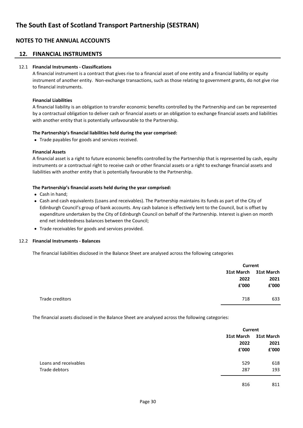#### **12. FINANCIAL INSTRUMENTS**

#### 12.1 **Financial Instruments - Classifications**

A financial instrument is a contract that gives rise to a financial asset of one entity and a financial liability or equity instrument of another entity. Non-exchange transactions, such as those relating to government grants, do not give rise to financial instruments.

#### **Financial Liabilities**

A financial liability is an obligation to transfer economic benefits controlled by the Partnership and can be represented by a contractual obligation to deliver cash or financial assets or an obligation to exchange financial assets and liabilities with another entity that is potentially unfavourable to the Partnership.

#### **The Partnership's financial liabilities held during the year comprised:**

• Trade payables for goods and services received.

#### **Financial Assets**

A financial asset is a right to future economic benefits controlled by the Partnership that is represented by cash, equity instruments or a contractual right to receive cash or other financial assets or a right to exchange financial assets and liabilities with another entity that is potentially favourable to the Partnership.

#### **The Partnership's financial assets held during the year comprised:**

- Cash in hand;
- Cash and cash equivalents (Loans and receivables). The Partnership maintains its funds as part of the City of Edinburgh Council's group of bank accounts. Any cash balance is effectively lent to the Council, but is offset by expenditure undertaken by the City of Edinburgh Council on behalf of the Partnership. Interest is given on month end net indebtedness balances between the Council;
- Trade receivables for goods and services provided.

#### 12.2 **Financial Instruments - Balances**

The financial liabilities disclosed in the Balance Sheet are analysed across the following categories

|                 |       | Current               |  |
|-----------------|-------|-----------------------|--|
|                 |       | 31st March 31st March |  |
|                 | 2022  | 2021                  |  |
|                 | £'000 | £'000                 |  |
| Trade creditors | 718   | 633                   |  |

The financial assets disclosed in the Balance Sheet are analysed across the following categories:

|                       |            | <b>Current</b> |  |
|-----------------------|------------|----------------|--|
|                       | 31st March | 31st March     |  |
|                       | 2022       | 2021           |  |
|                       | £'000      | £'000          |  |
| Loans and receivables | 529        | 618            |  |
| Trade debtors         | 287        | 193            |  |
|                       | 816        | 811            |  |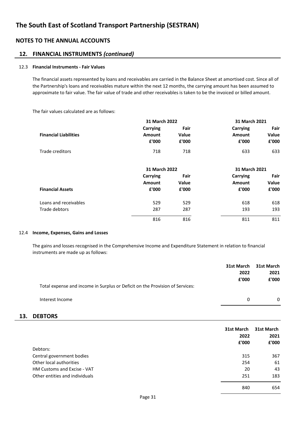#### **12. FINANCIAL INSTRUMENTS** *(continued)*

#### 12.3 **Financial Instruments - Fair Values**

The financial assets represented by loans and receivables are carried in the Balance Sheet at amortised cost. Since all of the Partnership's loans and receivables mature within the next 12 months, the carrying amount has been assumed to approximate to fair value. The fair value of trade and other receivables is taken to be the invoiced or billed amount.

The fair values calculated are as follows:

|                              |                 | 31 March 2022 |                 | 31 March 2021 |
|------------------------------|-----------------|---------------|-----------------|---------------|
|                              | <b>Carrying</b> | Fair          | <b>Carrying</b> | Fair          |
| <b>Financial Liabilities</b> | <b>Amount</b>   | <b>Value</b>  | Amount          | Value         |
|                              | £'000           | £'000         | £'000           | £'000         |
| Trade creditors              | 718             | 718           | 633             | 633           |
|                              | 31 March 2022   |               | 31 March 2021   |               |
|                              | Carrying        | Fair          | Carrying        | Fair          |
|                              | <b>Amount</b>   | Value         | <b>Amount</b>   | Value         |
| <b>Financial Assets</b>      | £'000           | £'000         | £'000           | £'000         |
| Loans and receivables        | 529             | 529           | 618             | 618           |
| Trade debtors                | 287             | 287           | 193             | 193           |
|                              | 816             | 816           | 811             | 811           |

#### 12.4 **Income, Expenses, Gains and Losses**

The gains and losses recognised in the Comprehensive Income and Expenditure Statement in relation to financial instruments are made up as follows:

|     |                                                                              | 31st March<br>2022<br>£'000 | <b>31st March</b><br>2021<br>£'000 |
|-----|------------------------------------------------------------------------------|-----------------------------|------------------------------------|
|     | Total expense and income in Surplus or Deficit on the Provision of Services: |                             |                                    |
|     | Interest Income                                                              | 0                           | 0                                  |
| 13. | <b>DEBTORS</b>                                                               |                             |                                    |
|     |                                                                              | 31st March                  | 31st March                         |
|     |                                                                              | 2022                        | 2021                               |
|     |                                                                              | £'000                       | £'000                              |
|     | Debtors:                                                                     |                             |                                    |
|     | Central government bodies                                                    | 315                         | 367                                |
|     | Other local authorities                                                      | 254                         | 61                                 |
|     | HM Customs and Excise - VAT                                                  | 20                          | 43                                 |
|     | Other entities and individuals                                               | 251                         | 183                                |

840 654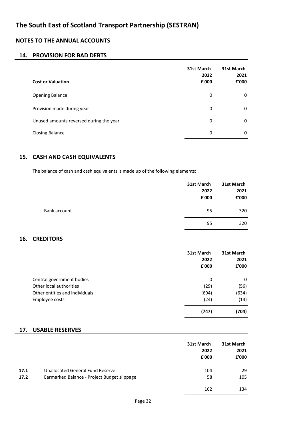# **NOTES TO THE ANNUAL ACCOUNTS**

# **14. PROVISION FOR BAD DEBTS**

| <b>Cost or Valuation</b>                | 31st March<br>2022<br>£'000 | 31st March<br>2021<br>£'000 |
|-----------------------------------------|-----------------------------|-----------------------------|
| <b>Opening Balance</b>                  | 0                           | 0                           |
| Provision made during year              | 0                           | 0                           |
| Unused amounts reversed during the year | 0                           | 0                           |
| <b>Closing Balance</b>                  | 0                           | 0                           |

### **15. CASH AND CASH EQUIVALENTS**

The balance of cash and cash equivalents is made up of the following elements:

|              | 31st March<br>2022<br>£'000 | 31st March<br>2021<br>${\bf f}$ '000 |
|--------------|-----------------------------|--------------------------------------|
| Bank account | 95                          | 320                                  |
|              | 95                          | 320                                  |

### **16. CREDITORS**

|                                | 31st March<br>2022<br>£'000 | 31st March<br>2021<br>£'000 |
|--------------------------------|-----------------------------|-----------------------------|
| Central government bodies      | 0                           | 0                           |
| Other local authorities        | (29)                        | (56)                        |
| Other entities and individuals | (694)                       | (634)                       |
| Employee costs                 | (24)                        | (14)                        |
|                                | (747)                       | (704)                       |

#### **17. USABLE RESERVES**

|      |                                             | 31st March<br>2022<br>£'000 | 31st March<br>2021<br>£'000 |
|------|---------------------------------------------|-----------------------------|-----------------------------|
| 17.1 | <b>Unallocated General Fund Reserve</b>     | 104                         | 29                          |
| 17.2 | Earmarked Balance - Project Budget slippage | 58                          | 105                         |
|      |                                             | 162                         | 134                         |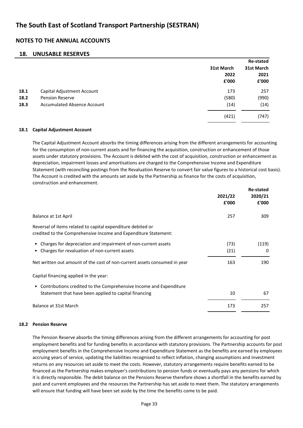# **NOTES TO THE ANNUAL ACCOUNTS**

#### **18. UNUSABLE RESERVES**

|      |                                    |            | <b>Re-stated</b> |
|------|------------------------------------|------------|------------------|
|      |                                    | 31st March | 31st March       |
|      |                                    | 2022       | 2021             |
|      |                                    | £'000      | £'000            |
| 18.1 | Capital Adjustment Account         | 173        | 257              |
| 18.2 | <b>Pension Reserve</b>             | (580)      | (990)            |
| 18.3 | <b>Accumulated Absence Account</b> | (14)       | (14)             |
|      |                                    | (421)      | (747)            |
|      |                                    |            |                  |

#### **18.1 Capital Adjustment Account**

**Re-stated** The Capital Adjustment Account absorbs the timing differences arising from the different arrangements for accounting for the consumption of non-current assets and for financing the acquisition, construction or enhancement of those assets under statutory provisions. The Account is debited with the cost of acquisition, construction or enhancement as depreciation, impairment losses and amortisations are charged to the Comprehensive Income and Expenditure Statement (with reconciling postings from the Revaluation Reserve to convert fair value figures to a historical cost basis). The Account is credited with the amounts set aside by the Partnership as finance for the costs of acquisition, construction and enhancement.

|                                                                                                                                | 2021/22 | <b>Re-stated</b><br>2020/21 |
|--------------------------------------------------------------------------------------------------------------------------------|---------|-----------------------------|
|                                                                                                                                | £'000   | £'000                       |
| Balance at 1st April                                                                                                           | 257     | 309                         |
| Reversal of items related to capital expenditure debited or<br>credited to the Comprehensive Income and Expenditure Statement: |         |                             |
| Charges for depreciation and impairment of non-current assets<br>٠                                                             | (73)    | (119)                       |
| Charges for revaluation of non-current assets<br>٠                                                                             | (21)    | 0                           |
| Net written out amount of the cost of non-current assets consumed in year                                                      | 163     | 190                         |
| Capital financing applied in the year:                                                                                         |         |                             |
| Contributions credited to the Comprehensive Income and Expenditure<br>$\bullet$                                                |         |                             |
| Statement that have been applied to capital financing                                                                          | 10      | 67                          |
| Balance at 31st March                                                                                                          | 173     | 257                         |

#### **18.2 Pension Reserve**

The Pension Reserve absorbs the timing differences arising from the different arrangements for accounting for post employment benefits and for funding benefits in accordance with statutory provisions. The Partnership accounts for post employment benefits in the Comprehensive Income and Expenditure Statement as the benefits are earned by employees accruing years of service, updating the liabilities recognised to reflect inflation, changing assumptions and investment returns on any resources set aside to meet the costs. However, statutory arrangements require benefits earned to be financed as the Partnership makes employer's contributions to pension funds or eventually pays any pensions for which it is directly responsible. The debit balance on the Pensions Reserve therefore shows a shortfall in the benefits earned by past and current employees and the resources the Partnership has set aside to meet them. The statutory arrangements will ensure that funding will have been set aside by the time the benefits come to be paid.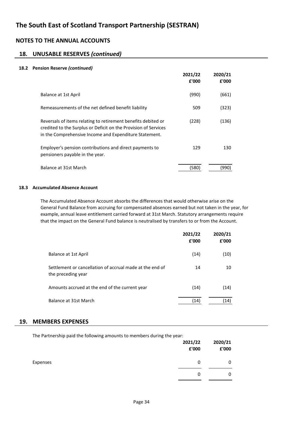# **NOTES TO THE ANNUAL ACCOUNTS**

# **18. UNUSABLE RESERVES** *(continued)*

#### **18.2 Pension Reserve** *(continued)*

|                                                                                                                                                                                            | 2021/22<br>£'000 | 2020/21<br>£'000 |
|--------------------------------------------------------------------------------------------------------------------------------------------------------------------------------------------|------------------|------------------|
| Balance at 1st April                                                                                                                                                                       | (990)            | (661)            |
| Remeasurements of the net defined benefit liability                                                                                                                                        | 509              | (323)            |
| Reversals of items relating to retirement benefits debited or<br>credited to the Surplus or Deficit on the Provision of Services<br>in the Comprehensive Income and Expenditure Statement. | (228)            | (136)            |
| Employer's pension contributions and direct payments to<br>pensioners payable in the year.                                                                                                 | 129              | 130              |
| Balance at 31st March                                                                                                                                                                      | (580             | 990'             |

#### **18.3 Accumulated Absence Account**

The Accumulated Absence Account absorbs the differences that would otherwise arise on the General Fund Balance from accruing for compensated absences earned but not taken in the year, for example, annual leave entitlement carried forward at 31st March. Statutory arrangements require that the impact on the General Fund balance is neutralised by transfers to or from the Account.

|                                                                                | 2021/22<br>£'000 | 2020/21<br>£'000 |
|--------------------------------------------------------------------------------|------------------|------------------|
| Balance at 1st April                                                           | (14)             | (10)             |
| Settlement or cancellation of accrual made at the end of<br>the preceding year | 14               | 10               |
| Amounts accrued at the end of the current year                                 | (14)             | (14)             |
| Balance at 31st March                                                          | (14)             | (14)             |

#### **19. MEMBERS EXPENSES**

The Partnership paid the following amounts to members during the year:

|          | 2021/22<br>£'000 | 2020/21<br>£'000 |
|----------|------------------|------------------|
| Expenses | 0                | 0                |
|          | 0                | 0                |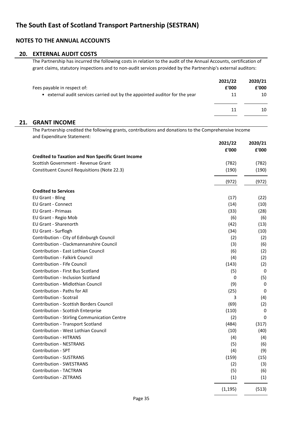### **20. EXTERNAL AUDIT COSTS**

The Partnership has incurred the following costs in relation to the audit of the Annual Accounts, certification of grant claims, statutory inspections and to non-audit services provided by the Partnership's external auditors:

| Fees payable in respect of:                                                 | 2021/22<br>£'000 | 2020/21<br>£'000 |
|-----------------------------------------------------------------------------|------------------|------------------|
| • external audit services carried out by the appointed auditor for the year | 11               | 10               |
|                                                                             | 11               | 10               |

#### **21. GRANT INCOME**

The Partnership credited the following grants, contributions and donations to the Comprehensive Income and Expenditure Statement:

|                                                           | 2021/22<br>£'000 | 2020/21<br>£'000 |
|-----------------------------------------------------------|------------------|------------------|
| <b>Credited to Taxation and Non Specific Grant Income</b> |                  |                  |
| Scottish Government - Revenue Grant                       | (782)            | (782)            |
| <b>Constituent Council Requisitions (Note 22.3)</b>       | (190)            | (190)            |
|                                                           | (972)            | (972)            |
| <b>Credited to Services</b>                               |                  |                  |
| <b>EU Grant - Bling</b>                                   | (17)             | (22)             |
| <b>EU Grant - Connect</b>                                 | (14)             | (10)             |
| <b>EU Grant - Primaas</b>                                 | (33)             | (28)             |
| EU Grant - Regio Mob                                      | (6)              | (6)              |
| <b>EU Grant - Sharenorth</b>                              | (42)             | (13)             |
| EU Grant - Surflogh                                       | (34)             | (10)             |
| Contribution - City of Edinburgh Council                  | (2)              | (2)              |
| Contribution - Clackmannanshire Council                   | (3)              | (6)              |
| Contribution - East Lothian Council                       | (6)              | (2)              |
| <b>Contribution - Falkirk Council</b>                     | (4)              | (2)              |
| Contribution - Fife Council                               | (143)            | (2)              |
| Contribution - First Bus Scotland                         | (5)              | 0                |
| <b>Contribution - Inclusion Scotland</b>                  | 0                | (5)              |
| Contribution - Midlothian Council                         | (9)              | 0                |
| Contribution - Paths for All                              | (25)             | 0                |
| Contribution - Scotrail                                   | 3                | (4)              |
| Contribution - Scottish Borders Council                   | (69)             | (2)              |
| Contribution - Scottish Enterprise                        | (110)            | 0                |
| Contribution - Stirling Communication Centre              | (2)              | 0                |
| Contribution - Transport Scotland                         | (484)            | (317)            |
| Contribution - West Lothian Council                       | (10)             | (40)             |
| <b>Contribution - HITRANS</b>                             | (4)              | (4)              |
| <b>Contribution - NESTRANS</b>                            | (5)              | (6)              |
| Contribution - SPT                                        | (4)              | (9)              |
| <b>Contribution - SUSTRANS</b>                            | (159)            | (15)             |
| <b>Contribution - SWESTRANS</b>                           | (2)              | (3)              |
| Contribution - TACTRAN                                    | (5)              | (6)              |
| <b>Contribution - ZETRANS</b>                             | (1)              | (1)              |
|                                                           | (1, 195)         | (513)            |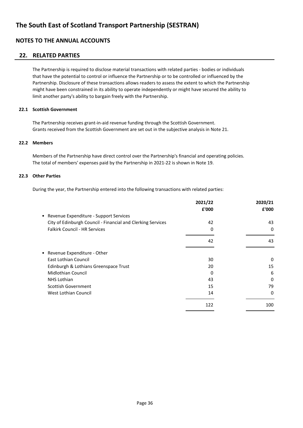### **22. RELATED PARTIES**

The Partnership is required to disclose material transactions with related parties - bodies or individuals that have the potential to control or influence the Partnership or to be controlled or influenced by the Partnership. Disclosure of these transactions allows readers to assess the extent to which the Partnership might have been constrained in its ability to operate independently or might have secured the ability to limit another party's ability to bargain freely with the Partnership.

#### **22.1 Scottish Government**

The Partnership receives grant-in-aid revenue funding through the Scottish Government. Grants received from the Scottish Government are set out in the subjective analysis in Note 21.

#### **22.2 Members**

Members of the Partnership have direct control over the Partnership's financial and operating policies. The total of members' expenses paid by the Partnership in 2021-22 is shown in Note 19.

#### **22.3 Other Parties**

During the year, the Partnership entered into the following transactions with related parties:

|                                                             | 2021/22<br>£'000 | 2020/21<br>£'000 |
|-------------------------------------------------------------|------------------|------------------|
| • Revenue Expenditure - Support Services                    |                  |                  |
| City of Edinburgh Council - Financial and Clerking Services | 42               | 43               |
| <b>Falkirk Council - HR Services</b>                        | 0                | 0                |
|                                                             | 42               | 43               |
| • Revenue Expenditure - Other                               |                  |                  |
| East Lothian Council                                        | 30               | 0                |
| Edinburgh & Lothians Greenspace Trust                       | 20               | 15               |
| <b>Midlothian Council</b>                                   | 0                | 6                |
| NHS Lothian                                                 | 43               | 0                |
| Scottish Government                                         | 15               | 79               |
| West Lothian Council                                        | 14               | 0                |
|                                                             | 122              | 100              |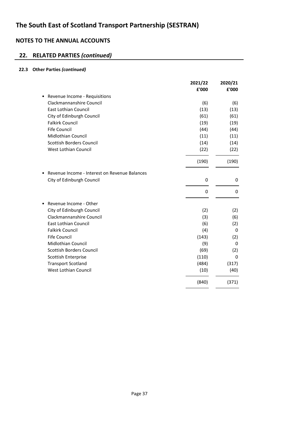# **22. RELATED PARTIES** *(continued)*

# **22.3 Other Parties** *(continued)*

|                                               | 2021/22 | 2020/21     |
|-----------------------------------------------|---------|-------------|
|                                               | £'000   | £'000       |
| Revenue Income - Requisitions                 |         |             |
| Clackmannanshire Council                      | (6)     | (6)         |
| <b>East Lothian Council</b>                   | (13)    | (13)        |
| City of Edinburgh Council                     | (61)    | (61)        |
| <b>Falkirk Council</b>                        | (19)    | (19)        |
| <b>Fife Council</b>                           | (44)    | (44)        |
| <b>Midlothian Council</b>                     | (11)    | (11)        |
| <b>Scottish Borders Council</b>               | (14)    | (14)        |
| West Lothian Council                          | (22)    | (22)        |
|                                               | (190)   | (190)       |
| Revenue Income - Interest on Revenue Balances |         |             |
| City of Edinburgh Council                     | 0       | 0           |
|                                               | 0       | $\Omega$    |
| Revenue Income - Other                        |         |             |
| City of Edinburgh Council                     | (2)     | (2)         |
| Clackmannanshire Council                      | (3)     | (6)         |
| <b>East Lothian Council</b>                   | (6)     | (2)         |
| <b>Falkirk Council</b>                        | (4)     | 0           |
| <b>Fife Council</b>                           | (143)   | (2)         |
| <b>Midlothian Council</b>                     | (9)     | $\mathbf 0$ |
| <b>Scottish Borders Council</b>               | (69)    | (2)         |
| Scottish Enterprise                           | (110)   | 0           |
| <b>Transport Scotland</b>                     | (484)   | (317)       |
| <b>West Lothian Council</b>                   | (10)    | (40)        |
|                                               | (840)   | (371)       |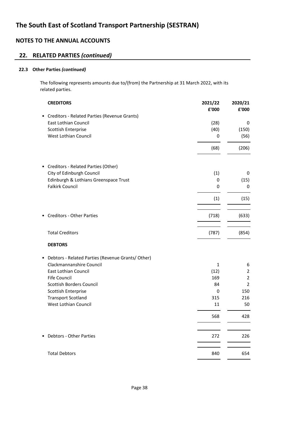# **22. RELATED PARTIES** *(continued)*

### **22.3 Other Parties** *(continued)*

The following represents amounts due to/(from) the Partnership at 31 March 2022, with its related parties.

| <b>CREDITORS</b>                                               | 2021/22<br>£'000 | 2020/21<br>£'000 |
|----------------------------------------------------------------|------------------|------------------|
| Creditors - Related Parties (Revenue Grants)<br>٠              |                  |                  |
| <b>East Lothian Council</b>                                    | (28)             | 0                |
| Scottish Enterprise                                            | (40)             | (150)            |
| West Lothian Council                                           | 0                | (56)             |
|                                                                | (68)             | (206)            |
| Creditors - Related Parties (Other)<br>$\bullet$               |                  |                  |
| City of Edinburgh Council                                      | (1)              | 0                |
| Edinburgh & Lothians Greenspace Trust                          | 0                | (15)             |
| <b>Falkirk Council</b>                                         | 0                | 0                |
|                                                                | (1)              | (15)             |
| <b>Creditors - Other Parties</b>                               | (718)            | (633)            |
|                                                                |                  |                  |
| <b>Total Creditors</b>                                         | (787)            | (854)            |
| <b>DEBTORS</b>                                                 |                  |                  |
| Debtors - Related Parties (Revenue Grants/ Other)<br>$\bullet$ |                  |                  |
| Clackmannanshire Council                                       | $\mathbf{1}$     | 6                |
| East Lothian Council                                           | (12)             | 2                |
| <b>Fife Council</b>                                            | 169              | $\overline{2}$   |
| Scottish Borders Council                                       | 84               | $\overline{2}$   |
| Scottish Enterprise                                            | 0                | 150              |
| <b>Transport Scotland</b>                                      | 315              | 216              |
| West Lothian Council                                           | 11               | 50               |
|                                                                | 568              | 428              |
| Debtors - Other Parties                                        | 272              | 226              |
| <b>Total Debtors</b>                                           | 840              | 654              |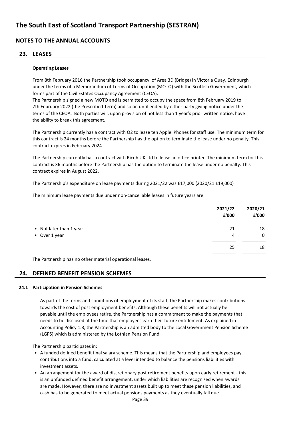### **23. LEASES**

#### **Operating Leases**

From 8th February 2016 the Partnership took occupancy of Area 3D (Bridge) in Victoria Quay, Edinburgh under the terms of a Memorandum of Terms of Occupation (MOTO) with the Scottish Government, which forms part of the Civil Estates Occupancy Agreement (CEOA).

The Partnership signed a new MOTO and is permitted to occupy the space from 8th February 2019 to 7th February 2022 (the Prescribed Term) and so on until ended by either party giving notice under the terms of the CEOA. Both parties will, upon provision of not less than 1 year's prior written notice, have the ability to break this agreement.

The Partnership currently has a contract with O2 to lease ten Apple iPhones for staff use. The minimum term for this contract is 24 months before the Partnership has the option to terminate the lease under no penalty. This contract expires in February 2024.

The Partnership currently has a contract with Ricoh UK Ltd to lease an office printer. The minimum term for this contract is 36 months before the Partnership has the option to terminate the lease under no penalty. This contract expires in August 2022.

The Partnership's expenditure on lease payments during 2021/22 was £17,000 (2020/21 £19,000)

The minimum lease payments due under non-cancellable leases in future years are:

|                         | 2021/22<br>£'000 | 2020/21<br>£'000 |
|-------------------------|------------------|------------------|
| • Not later than 1 year | 21               | 18               |
| • Over 1 year           | 4                | $\mathbf 0$      |
|                         | 25               | 18               |

The Partnership has no other material operational leases.

### **24. DEFINED BENEFIT PENSION SCHEMES**

#### **24.1 Participation in Pension Schemes**

As part of the terms and conditions of employment of its staff, the Partnership makes contributions towards the cost of post employment benefits. Although these benefits will not actually be payable until the employees retire, the Partnership has a commitment to make the payments that needs to be disclosed at the time that employees earn their future entitlement. As explained in Accounting Policy 1.8, the Partnership is an admitted body to the Local Government Pension Scheme (LGPS) which is administered by the Lothian Pension Fund.

The Partnership participates in:

- A funded defined benefit final salary scheme. This means that the Partnership and employees pay contributions into a fund, calculated at a level intended to balance the pensions liabilities with investment assets.
- An arrangement for the award of discretionary post retirement benefits upon early retirement this is an unfunded defined benefit arrangement, under which liabilities are recognised when awards are made. However, there are no investment assets built up to meet these pension liabilities, and cash has to be generated to meet actual pensions payments as they eventually fall due.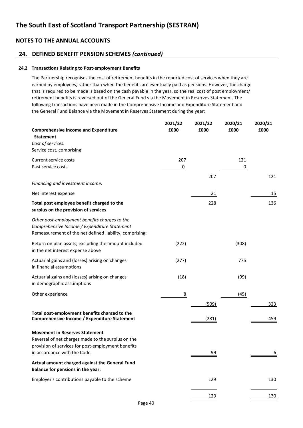### **24. DEFINED BENEFIT PENSION SCHEMES** *(continued)*

#### **24.2 Transactions Relating to Post-employment Benefits**

The Partnership recognises the cost of retirement benefits in the reported cost of services when they are earned by employees, rather than when the benefits are eventually paid as pensions. However, the charge that is required to be made is based on the cash payable in the year, so the real cost of post employment/ retirement benefits is reversed out of the General Fund via the Movement in Reserves Statement. The following transactions have been made in the Comprehensive Income and Expenditure Statement and the General Fund Balance via the Movement in Reserves Statement during the year:

| <b>Comprehensive Income and Expenditure</b>                                                                                                              | 2021/22<br>£000 | 2021/22<br>£000 | 2020/21<br>£000 | 2020/21<br>£000 |
|----------------------------------------------------------------------------------------------------------------------------------------------------------|-----------------|-----------------|-----------------|-----------------|
| <b>Statement</b>                                                                                                                                         |                 |                 |                 |                 |
| Cost of services:                                                                                                                                        |                 |                 |                 |                 |
| Service cost, comprising:                                                                                                                                |                 |                 |                 |                 |
| Current service costs                                                                                                                                    | 207             |                 | 121             |                 |
| Past service costs                                                                                                                                       | $\pmb{0}$       |                 | 0               |                 |
|                                                                                                                                                          |                 | 207             |                 | 121             |
| Financing and investment income:                                                                                                                         |                 |                 |                 |                 |
| Net interest expense                                                                                                                                     |                 | 21              |                 | 15              |
| Total post employee benefit charged to the<br>surplus on the provision of services                                                                       |                 | 228             |                 | 136             |
| Other post-employment benefits charges to the<br>Comprehensive Income / Expenditure Statement<br>Remeasurement of the net defined liability, comprising: |                 |                 |                 |                 |
| Return on plan assets, excluding the amount included<br>in the net interest expense above                                                                | (222)           |                 | (308)           |                 |
| Actuarial gains and (losses) arising on changes<br>in financial assumptions                                                                              | (277)           |                 | 775             |                 |
| Actuarial gains and (losses) arising on changes<br>in demographic assumptions                                                                            | (18)            |                 | (99)            |                 |
| Other experience                                                                                                                                         | 8               |                 | (45)            |                 |
|                                                                                                                                                          |                 | (509)           |                 | 323             |
| Total post-employment benefits charged to the<br>Comprehensive Income / Expenditure Statement                                                            |                 | (281)           |                 | 459             |
| <b>Movement in Reserves Statement</b><br>Reversal of net charges made to the surplus on the<br>provision of services for post-employment benefits        |                 |                 |                 |                 |
| in accordance with the Code.                                                                                                                             |                 | 99              |                 | 6               |
| Actual amount charged against the General Fund<br>Balance for pensions in the year:                                                                      |                 |                 |                 |                 |
| Employer's contributions payable to the scheme                                                                                                           |                 | 129             |                 | 130             |
|                                                                                                                                                          |                 | 129             |                 | 130             |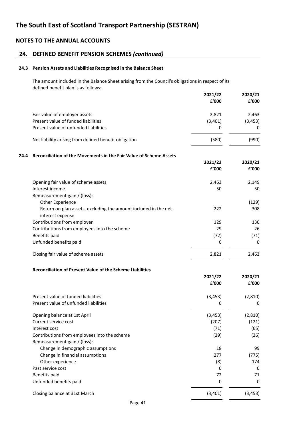# **24. DEFINED BENEFIT PENSION SCHEMES** *(continued)*

#### **24.3 Pension Assets and Liabilities Recognised in the Balance Sheet**

The amount included in the Balance Sheet arising from the Council's obligations in respect of its defined benefit plan is as follows:

|      |                                                                                     | 2021/22<br>£'000 | 2020/21<br>£'000 |
|------|-------------------------------------------------------------------------------------|------------------|------------------|
|      | Fair value of employer assets                                                       | 2,821            | 2,463            |
|      | Present value of funded liabilities                                                 | (3,401)          | (3, 453)         |
|      | Present value of unfunded liabilities                                               | 0                | 0                |
|      | Net liability arising from defined benefit obligation                               | (580)            | (990)            |
| 24.4 | Reconciliation of the Movements in the Fair Value of Scheme Assets                  |                  |                  |
|      |                                                                                     | 2021/22<br>£'000 | 2020/21<br>£'000 |
|      | Opening fair value of scheme assets                                                 | 2,463            | 2,149            |
|      | Interest income                                                                     | 50               | 50               |
|      | Remeasurement gain / (loss):                                                        |                  |                  |
|      | Other Experience                                                                    |                  | (129)            |
|      | Return on plan assets, excluding the amount included in the net<br>interest expense | 222              | 308              |
|      | Contributions from employer                                                         | 129              | 130              |
|      | Contributions from employees into the scheme                                        | 29               | 26               |
|      | Benefits paid                                                                       | (72)             | (71)             |
|      | Unfunded benefits paid                                                              | 0                | 0                |
|      | Closing fair value of scheme assets                                                 | 2,821            | 2,463            |
|      | Reconciliation of Present Value of the Scheme Liabilities                           |                  |                  |
|      |                                                                                     | 2021/22          | 2020/21          |
|      |                                                                                     | £'000            | £'000            |
|      | Present value of funded liabilities                                                 | (3, 453)         | (2,810)          |
|      | Present value of unfunded liabilities                                               | 0                | 0                |

| Opening balance at 1st April                 | (3, 453) | (2,810) |
|----------------------------------------------|----------|---------|
| Current service cost                         | (207)    | (121)   |
| Interest cost                                | (71)     | (65)    |
| Contributions from employees into the scheme | (29)     | (26)    |
| Remeasurement gain / (loss):                 |          |         |
| Change in demographic assumptions            | 18       | 99      |
| Change in financial assumptions              | 277      | (775)   |
| Other experience                             | (8)      | 174     |
| Past service cost                            | 0        | 0       |
| Benefits paid                                | 72       | 71      |
| Unfunded benefits paid                       | 0        | 0       |
| Closing balance at 31st March                | (3,401)  | (3,453) |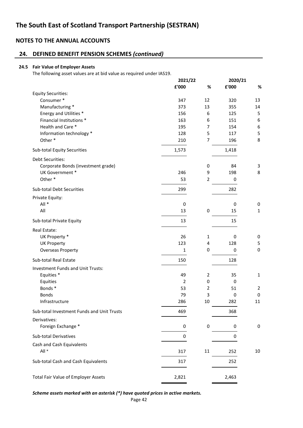# **24. DEFINED BENEFIT PENSION SCHEMES** *(continued)*

#### **24.5 Fair Value of Employer Assets**

The following asset values are at bid value as required under IAS19.

|                                            | 2021/22        |                         | 2020/21 |              |
|--------------------------------------------|----------------|-------------------------|---------|--------------|
|                                            | £'000          | %                       | £'000   | %            |
| <b>Equity Securities:</b>                  |                |                         |         |              |
| Consumer*                                  | 347            | 12                      | 320     | 13           |
| Manufacturing *                            | 373            | 13                      | 355     | 14           |
| Energy and Utilities *                     | 156            | 6                       | 125     | 5            |
| Financial Institutions *                   | 163            | 6                       | 151     | 6            |
| Health and Care *                          | 195            | $\overline{7}$          | 154     | 6            |
| Information technology *                   | 128            | 5                       | 117     | 5            |
| Other*                                     | 210            | $\overline{7}$          | 196     | 8            |
| <b>Sub-total Equity Securities</b>         | 1,573          |                         | 1,418   |              |
| Debt Securities:                           |                |                         |         |              |
| Corporate Bonds (investment grade)         |                | $\pmb{0}$               | 84      | 3            |
| UK Government *                            | 246            | 9                       | 198     | 8            |
| Other*                                     | 53             | $\overline{2}$          | 0       |              |
| <b>Sub-total Debt Securities</b>           | 299            |                         | 282     |              |
| Private Equity:                            |                |                         |         |              |
| All *                                      | 0              |                         | 0       | 0            |
| All                                        | 13             | 0                       | 15      | $\mathbf{1}$ |
| Sub-total Private Equity                   | 13             |                         | 15      |              |
| Real Estate:                               |                |                         |         |              |
| UK Property *                              | 26             | 1                       | 0       | 0            |
| <b>UK Property</b>                         | 123            | $\overline{\mathbf{4}}$ | 128     | 5            |
| <b>Overseas Property</b>                   | 1              | 0                       | 0       | $\mathbf 0$  |
| Sub-total Real Estate                      | 150            |                         | 128     |              |
| <b>Investment Funds and Unit Trusts:</b>   |                |                         |         |              |
| Equities <sup>*</sup>                      | 49             | $\overline{2}$          | 35      | $\mathbf{1}$ |
| Equities                                   | $\overline{2}$ | 0                       | 0       |              |
| Bonds*                                     | 53             | $\overline{2}$          | 51      | 2            |
| <b>Bonds</b>                               | 79             | 3                       | 0       | 0            |
| Infrastructure                             | 286            | 10                      | 282     | 11           |
| Sub-total Investment Funds and Unit Trusts | 469            |                         | 368     |              |
| Derivatives:                               |                |                         |         |              |
| Foreign Exchange *                         | 0              | $\pmb{0}$               | 0       | 0            |
| Sub-total Derivatives                      | 0              |                         | 0       |              |
| Cash and Cash Equivalents                  |                |                         |         |              |
| All *                                      | 317            | 11                      | 252     | 10           |
| Sub-total Cash and Cash Equivalents        | 317            |                         | 252     |              |
| <b>Total Fair Value of Employer Assets</b> | 2,821          |                         | 2,463   |              |
|                                            |                |                         |         |              |

*Scheme assets marked with an asterisk (\*) have quoted prices in active markets.*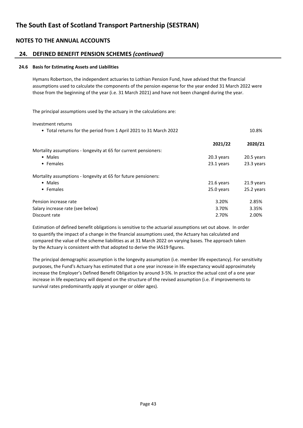### **24. DEFINED BENEFIT PENSION SCHEMES** *(continued)*

#### **24.6 Basis for Estimating Assets and Liabilities**

Hymans Robertson, the independent actuaries to Lothian Pension Fund, have advised that the financial assumptions used to calculate the components of the pension expense for the year ended 31 March 2022 were those from the beginning of the year (i.e. 31 March 2021) and have not been changed during the year.

The principal assumptions used by the actuary in the calculations are:

Investment returns

| • Total returns for the period from 1 April 2021 to 31 March 2022 |            | 10.8%      |
|-------------------------------------------------------------------|------------|------------|
|                                                                   | 2021/22    | 2020/21    |
| Mortality assumptions - longevity at 65 for current pensioners:   |            |            |
| • Males                                                           | 20.3 years | 20.5 years |
| • Females                                                         | 23.1 years | 23.3 years |
| Mortality assumptions - longevity at 65 for future pensioners:    |            |            |
| • Males                                                           | 21.6 years | 21.9 years |
| • Females                                                         | 25.0 years | 25.2 years |
| Pension increase rate                                             | 3.20%      | 2.85%      |
| Salary increase rate (see below)                                  | 3.70%      | 3.35%      |
| Discount rate                                                     | 2.70%      | 2.00%      |
|                                                                   |            |            |

Estimation of defined benefit obligations is sensitive to the actuarial assumptions set out above. In order to quantify the impact of a change in the financial assumptions used, the Actuary has calculated and compared the value of the scheme liabilities as at 31 March 2022 on varying bases. The approach taken by the Actuary is consistent with that adopted to derive the IAS19 figures.

The principal demographic assumption is the longevity assumption (i.e. member life expectancy). For sensitivity purposes, the Fund's Actuary has estimated that a one year increase in life expectancy would approximately increase the Employer's Defined Benefit Obligation by around 3-5%. In practice the actual cost of a one year increase in life expectancy will depend on the structure of the revised assumption (i.e. if improvements to survival rates predominantly apply at younger or older ages).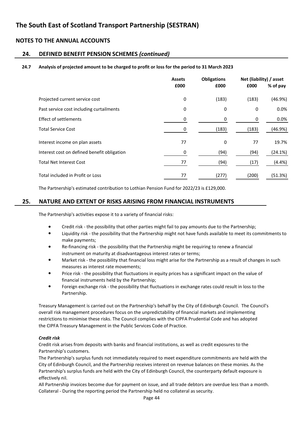### **24. DEFINED BENEFIT PENSION SCHEMES** *(continued)*

#### **24.7 Analysis of projected amount to be charged to profit or loss for the period to 31 March 2023**

|                                             | <b>Assets</b><br>£000 | <b>Obligations</b><br>£000 | £000  | Net (liability) / asset<br>% of pay |
|---------------------------------------------|-----------------------|----------------------------|-------|-------------------------------------|
| Projected current service cost              | 0                     | (183)                      | (183) | (46.9%)                             |
| Past service cost including curtailments    | 0                     | 0                          | 0     | 0.0%                                |
| <b>Effect of settlements</b>                | 0                     | 0                          | 0     | 0.0%                                |
| <b>Total Service Cost</b>                   | 0                     | (183)                      | (183) | (46.9%)                             |
| Interest income on plan assets              | 77                    | 0                          | 77    | 19.7%                               |
| Interest cost on defined benefit obligation | 0                     | (94)                       | (94)  | (24.1%)                             |
| <b>Total Net Interest Cost</b>              | 77                    | (94)                       | (17)  | (4.4%)                              |
| Total included in Profit or Loss            | 77                    | (277)                      | (200) | (51.3%)                             |

The Partnership's estimated contribution to Lothian Pension Fund for 2022/23 is £129,000.

### **25. NATURE AND EXTENT OF RISKS ARISING FROM FINANCIAL INSTRUMENTS**

The Partnership's activities expose it to a variety of financial risks:

- Credit risk - the possibility that other parties might fail to pay amounts due to the Partnership;
- Liquidity risk - the possibility that the Partnership might not have funds available to meet its commitments to make payments;
- Re-financing risk the possibility that the Partnership might be requiring to renew a financial instrument on maturity at disadvantageous interest rates or terms;
- Market risk - the possibility that financial loss might arise for the Partnership as a result of changes in such measures as interest rate movements;
- Price risk the possibility that fluctuations in equity prices has a significant impact on the value of financial instruments held by the Partnership;
- Foreign exchange risk the possibility that fluctuations in exchange rates could result in loss to the Partnership.

Treasury Management is carried out on the Partnership's behalf by the City of Edinburgh Council. The Council's overall risk management procedures focus on the unpredictability of financial markets and implementing restrictions to minimise these risks. The Council complies with the CIPFA Prudential Code and has adopted the CIPFA Treasury Management in the Public Services Code of Practice.

#### *Credit risk*

Credit risk arises from deposits with banks and financial institutions, as well as credit exposures to the Partnership's customers.

The Partnership's surplus funds not immediately required to meet expenditure commitments are held with the City of Edinburgh Council, and the Partnership receives interest on revenue balances on these monies. As the Partnership's surplus funds are held with the City of Edinburgh Council, the counterparty default exposure is effectively nil.

All Partnership invoices become due for payment on issue, and all trade debtors are overdue less than a month. Collateral - During the reporting period the Partnership held no collateral as security.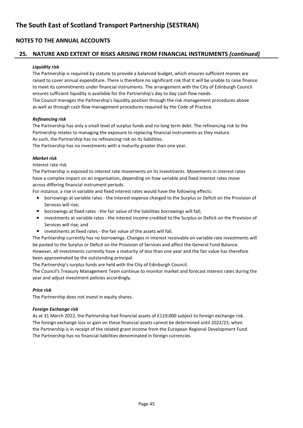### **25. NATURE AND EXTENT OF RISKS ARISING FROM FINANCIAL INSTRUMENTS** *(continued)*

#### *Liquidity risk*

The Partnership is required by statute to provide a balanced budget, which ensures sufficient monies are raised to cover annual expenditure. There is therefore no significant risk that it will be unable to raise finance to meet its commitments under financial instruments. The arrangement with the City of Edinburgh Council ensures sufficient liquidity is available for the Partnership's day to day cash flow needs. The Council manages the Partnership's liquidity position through the risk management procedures above as well as through cash flow management procedures required by the Code of Practice.

#### *Refinancing risk*

The Partnership has only a small level of surplus funds and no long term debt. The refinancing risk to the Partnership relates to managing the exposure to replacing financial instruments as they mature. As such, the Partnership has no refinancing risk on its liabilities.

The Partnership has no investments with a maturity greater than one year.

#### *Market risk*

Interest rate risk

The Partnership is exposed to interest rate movements on its investments. Movements in interest rates have a complex impact on an organisation, depending on how variable and fixed interest rates move across differing financial instrument periods.

For instance, a rise in variable and fixed interest rates would have the following effects:

- borrowings at variable rates the interest expense charged to the Surplus or Deficit on the Provision of Services will rise;
- borrowings at fixed rates the fair value of the liabilities borrowings will fall;
- investments at variable rates the interest income credited to the Surplus or Deficit on the Provision of Services will rise; and
- investments at fixed rates the fair value of the assets will fall.

The Partnership currently has no borrowings. Changes in interest receivable on variable rate investments will be posted to the Surplus or Deficit on the Provision of Services and affect the General Fund Balance. However, all investments currently have a maturity of less than one year and the fair value has therefore been approximated by the outstanding principal.

The Partnership's surplus funds are held with the City of Edinburgh Council.

The Council's Treasury Management Team continue to monitor market and forecast interest rates during the year and adjust investment policies accordingly.

#### *Price risk*

The Partnership does not invest in equity shares.

#### *Foreign Exchange risk*

As at 31 March 2022, the Partnership had financial assets of £119,000 subject to foreign exchange risk. The foreign exchange loss or gain on these financial assets cannot be determined until 2022/23, when the Partnership is in receipt of the related grant income from the European Regional Development Fund. The Partnership has no financial liabilities denominated in foreign currencies.